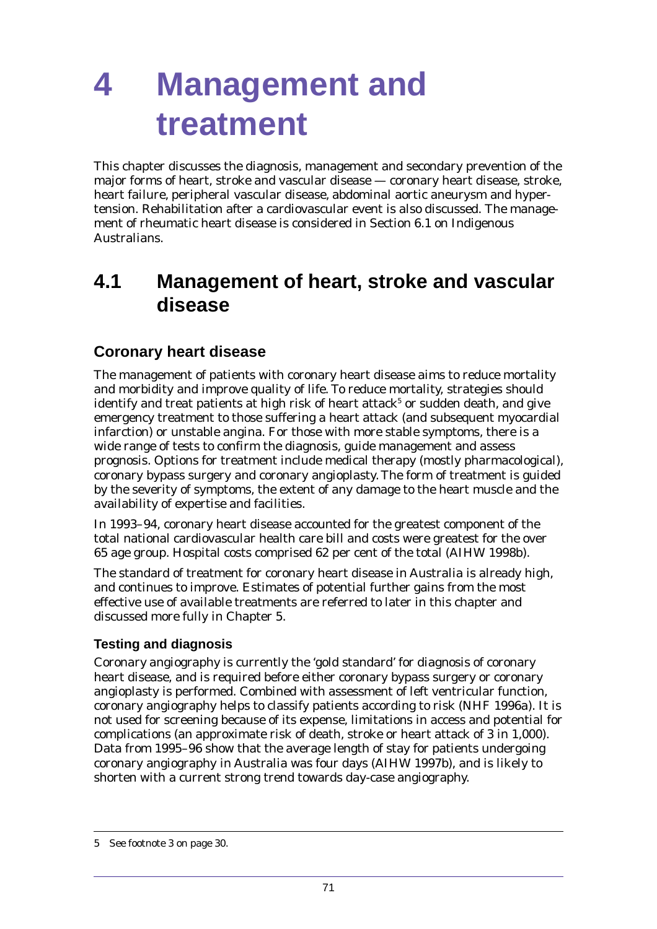This chapter discusses the diagnosis, management and secondary prevention of the major forms of heart, stroke and vascular disease — coronary heart disease, stroke, heart failure, peripheral vascular disease, abdominal aortic aneurysm and hypertension. Rehabilitation after a cardiovascular event is also discussed. The management of rheumatic heart disease is considered in Section 6.1 on Indigenous Australians.

# **4.1 Management of heart, stroke and vascular disease**

# **Coronary heart disease**

The management of patients with coronary heart disease aims to reduce mortality and morbidity and improve quality of life. To reduce mortality, strategies should identify and treat patients at high risk of heart attack $^5$  or sudden death, and give emergency treatment to those suffering a heart attack (and subsequent myocardial infarction) or unstable angina. For those with more stable symptoms, there is a wide range of tests to confirm the diagnosis, guide management and assess prognosis. Options for treatment include medical therapy (mostly pharmacological), coronary bypass surgery and coronary angioplasty. The form of treatment is guided by the severity of symptoms, the extent of any damage to the heart muscle and the availability of expertise and facilities.

In 1993–94, coronary heart disease accounted for the greatest component of the total national cardiovascular health care bill and costs were greatest for the over 65 age group. Hospital costs comprised 62 per cent of the total (AIHW 1998b).

The standard of treatment for coronary heart disease in Australia is already high, and continues to improve. Estimates of potential further gains from the most effective use of available treatments are referred to later in this chapter and discussed more fully in Chapter 5.

### **Testing and diagnosis**

*Coronary angiography* is currently the 'gold standard' for diagnosis of coronary heart disease, and is required before either coronary bypass surgery or coronary angioplasty is performed. Combined with assessment of left ventricular function, coronary angiography helps to classify patients according to risk (NHF 1996a). It is not used for screening because of its expense, limitations in access and potential for complications (an approximate risk of death, stroke or heart attack of 3 in 1,000). Data from 1995–96 show that the average length of stay for patients undergoing coronary angiography in Australia was four days (AIHW 1997b), and is likely to shorten with a current strong trend towards day-case angiography.

<sup>5</sup> See footnote 3 on page 30.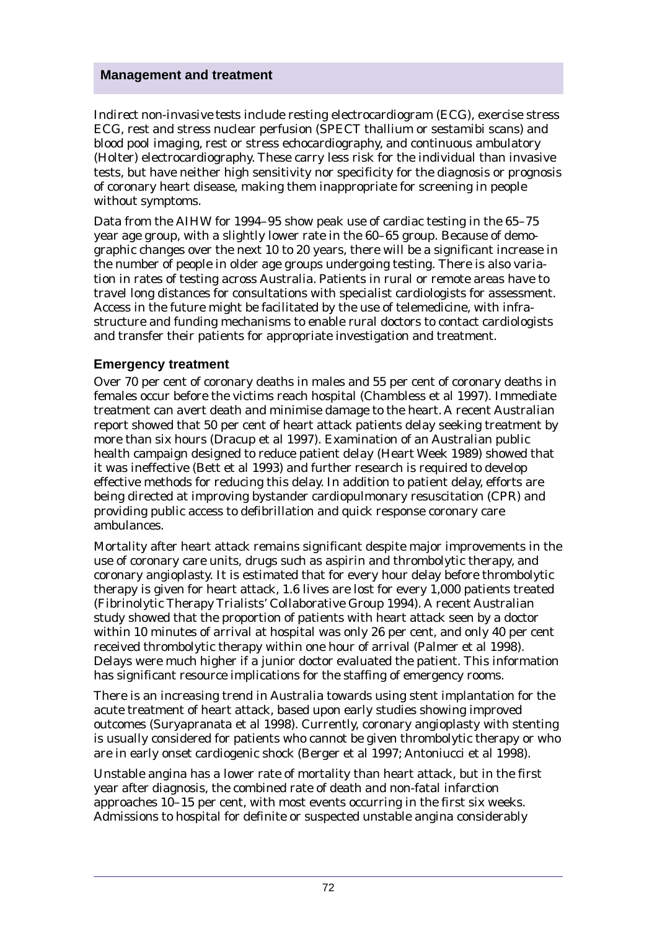*Indirect non-invasive tests* include resting electrocardiogram (ECG), exercise stress ECG, rest and stress nuclear perfusion (SPECT thallium or sestamibi scans) and blood pool imaging, rest or stress echocardiography, and continuous ambulatory (Holter) electrocardiography. These carry less risk for the individual than invasive tests, but have neither high sensitivity nor specificity for the diagnosis or prognosis of coronary heart disease, making them inappropriate for screening in people without symptoms.

Data from the AIHW for 1994–95 show peak use of cardiac testing in the 65–75 year age group, with a slightly lower rate in the 60–65 group. Because of demographic changes over the next 10 to 20 years, there will be a significant increase in the number of people in older age groups undergoing testing. There is also variation in rates of testing across Australia. Patients in rural or remote areas have to travel long distances for consultations with specialist cardiologists for assessment. Access in the future might be facilitated by the use of telemedicine, with infrastructure and funding mechanisms to enable rural doctors to contact cardiologists and transfer their patients for appropriate investigation and treatment.

### **Emergency treatment**

Over 70 per cent of coronary deaths in males and 55 per cent of coronary deaths in females occur before the victims reach hospital (Chambless et al 1997). Immediate treatment can avert death and minimise damage to the heart. A recent Australian report showed that 50 per cent of heart attack patients delay seeking treatment by more than six hours (Dracup et al 1997). Examination of an Australian public health campaign designed to reduce patient delay (Heart Week 1989) showed that it was ineffective (Bett et al 1993) and further research is required to develop effective methods for reducing this delay. In addition to patient delay, efforts are being directed at improving bystander cardiopulmonary resuscitation (CPR) and providing public access to defibrillation and quick response coronary care ambulances.

Mortality after heart attack remains significant despite major improvements in the use of coronary care units, drugs such as aspirin and thrombolytic therapy, and coronary angioplasty. It is estimated that for every hour delay before thrombolytic therapy is given for heart attack, 1.6 lives are lost for every 1,000 patients treated (Fibrinolytic Therapy Trialists' Collaborative Group 1994). A recent Australian study showed that the proportion of patients with heart attack seen by a doctor within 10 minutes of arrival at hospital was only 26 per cent, and only 40 per cent received thrombolytic therapy within one hour of arrival (Palmer et al 1998). Delays were much higher if a junior doctor evaluated the patient. This information has significant resource implications for the staffing of emergency rooms.

There is an increasing trend in Australia towards using stent implantation for the acute treatment of heart attack, based upon early studies showing improved outcomes (Suryapranata et al 1998). Currently, coronary angioplasty with stenting is usually considered for patients who cannot be given thrombolytic therapy or who are in early onset cardiogenic shock (Berger et al 1997; Antoniucci et al 1998).

Unstable angina has a lower rate of mortality than heart attack, but in the first year after diagnosis, the combined rate of death and non-fatal infarction approaches 10–15 per cent, with most events occurring in the first six weeks. Admissions to hospital for definite or suspected unstable angina considerably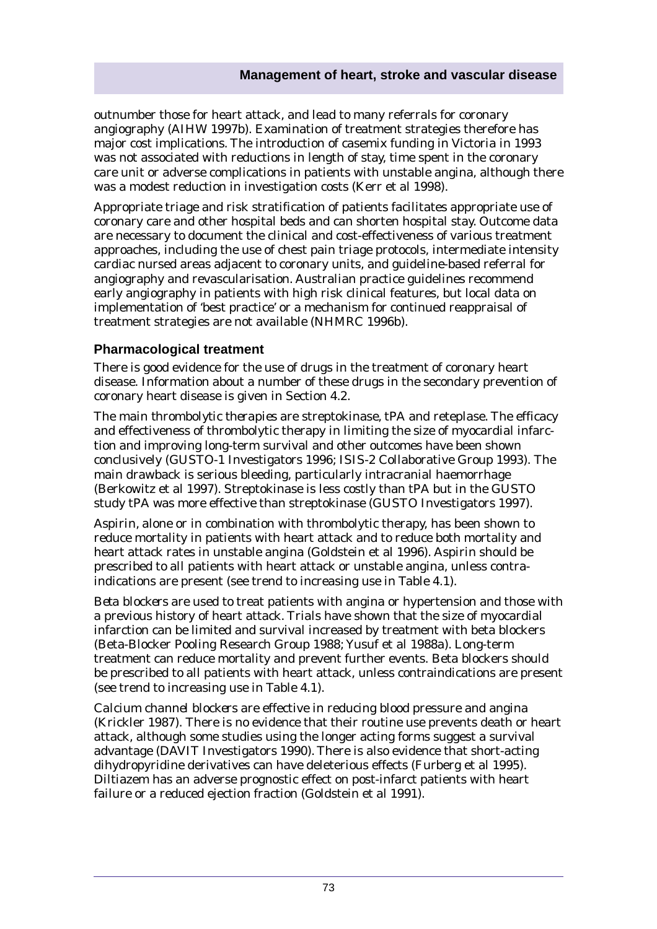outnumber those for heart attack, and lead to many referrals for coronary angiography (AIHW 1997b). Examination of treatment strategies therefore has major cost implications. The introduction of casemix funding in Victoria in 1993 was not associated with reductions in length of stay, time spent in the coronary care unit or adverse complications in patients with unstable angina, although there was a modest reduction in investigation costs (Kerr et al 1998).

Appropriate triage and risk stratification of patients facilitates appropriate use of coronary care and other hospital beds and can shorten hospital stay. Outcome data are necessary to document the clinical and cost-effectiveness of various treatment approaches, including the use of chest pain triage protocols, intermediate intensity cardiac nursed areas adjacent to coronary units, and guideline-based referral for angiography and revascularisation. Australian practice guidelines recommend early angiography in patients with high risk clinical features, but local data on implementation of 'best practice' or a mechanism for continued reappraisal of treatment strategies are not available (NHMRC 1996b).

### **Pharmacological treatment**

There is good evidence for the use of drugs in the treatment of coronary heart disease. Information about a number of these drugs in the secondary prevention of coronary heart disease is given in Section 4.2.

The main *thrombolytic therapies* are streptokinase, tPA and reteplase. The efficacy and effectiveness of thrombolytic therapy in limiting the size of myocardial infarction and improving long-term survival and other outcomes have been shown conclusively (GUSTO-1 Investigators 1996; ISIS-2 Collaborative Group 1993). The main drawback is serious bleeding, particularly intracranial haemorrhage (Berkowitz et al 1997). Streptokinase is less costly than tPA but in the GUSTO study tPA was more effective than streptokinase (GUSTO Investigators 1997).

*Aspirin*, alone or in combination with thrombolytic therapy, has been shown to reduce mortality in patients with heart attack and to reduce both mortality and heart attack rates in unstable angina (Goldstein et al 1996). Aspirin should be prescribed to all patients with heart attack or unstable angina, unless contraindications are present (see trend to increasing use in Table 4.1).

*Beta blockers* are used to treat patients with angina or hypertension and those with a previous history of heart attack. Trials have shown that the size of myocardial infarction can be limited and survival increased by treatment with beta blockers (Beta-Blocker Pooling Research Group 1988; Yusuf et al 1988a). Long-term treatment can reduce mortality and prevent further events. Beta blockers should be prescribed to all patients with heart attack, unless contraindications are present (see trend to increasing use in Table 4.1).

*Calcium channel blockers* are effective in reducing blood pressure and angina (Krickler 1987). There is no evidence that their routine use prevents death or heart attack, although some studies using the longer acting forms suggest a survival advantage (DAVIT Investigators 1990). There is also evidence that short-acting dihydropyridine derivatives can have deleterious effects (Furberg et al 1995). Diltiazem has an adverse prognostic effect on post-infarct patients with heart failure or a reduced ejection fraction (Goldstein et al 1991).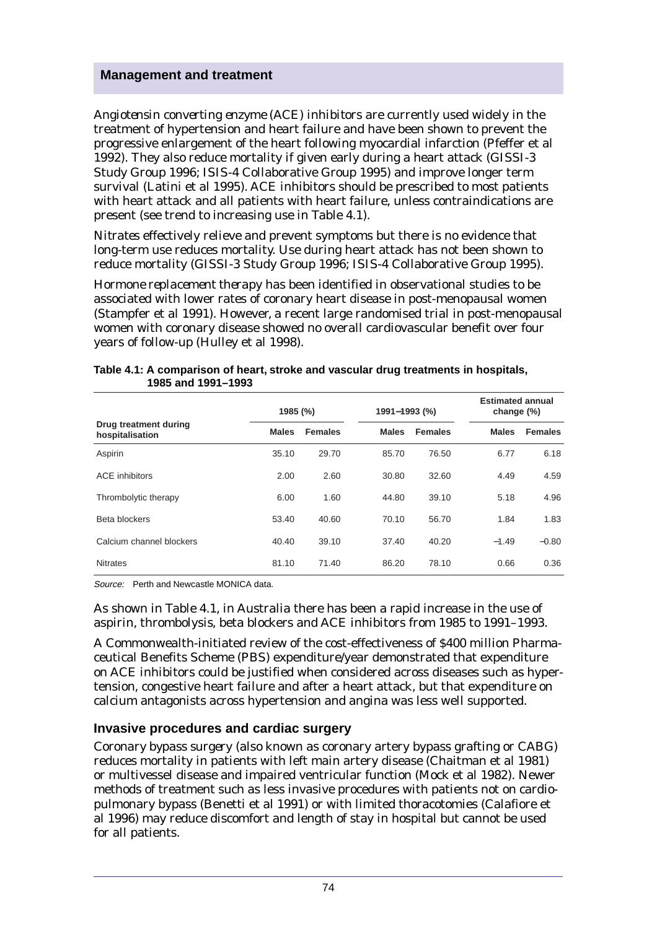*Angiotensin converting enzyme (ACE) inhibitors* are currently used widely in the treatment of hypertension and heart failure and have been shown to prevent the progressive enlargement of the heart following myocardial infarction (Pfeffer et al 1992). They also reduce mortality if given early during a heart attack (GISSI-3 Study Group 1996; ISIS-4 Collaborative Group 1995) and improve longer term survival (Latini et al 1995). ACE inhibitors should be prescribed to most patients with heart attack and all patients with heart failure, unless contraindications are present (see trend to increasing use in Table 4.1).

*Nitrates* effectively relieve and prevent symptoms but there is no evidence that long-term use reduces mortality. Use during heart attack has not been shown to reduce mortality (GISSI-3 Study Group 1996; ISIS-4 Collaborative Group 1995).

*Hormone replacement therapy* has been identified in observational studies to be associated with lower rates of coronary heart disease in post-menopausal women (Stampfer et al 1991). However, a recent large randomised trial in post-menopausal women with coronary disease showed no overall cardiovascular benefit over four years of follow-up (Hulley et al 1998).

|                                          | 1985 (%)     |                |              | 1991-1993 (%)  |              | <b>Estimated annual</b><br>change (%) |  |
|------------------------------------------|--------------|----------------|--------------|----------------|--------------|---------------------------------------|--|
| Drug treatment during<br>hospitalisation | <b>Males</b> | <b>Females</b> | <b>Males</b> | <b>Females</b> | <b>Males</b> | <b>Females</b>                        |  |
| Aspirin                                  | 35.10        | 29.70          | 85.70        | 76.50          | 6.77         | 6.18                                  |  |
| <b>ACE</b> inhibitors                    | 2.00         | 2.60           | 30.80        | 32.60          | 4.49         | 4.59                                  |  |
| Thrombolytic therapy                     | 6.00         | 1.60           | 44.80        | 39.10          | 5.18         | 4.96                                  |  |
| Beta blockers                            | 53.40        | 40.60          | 70.10        | 56.70          | 1.84         | 1.83                                  |  |
| Calcium channel blockers                 | 40.40        | 39.10          | 37.40        | 40.20          | $-1.49$      | $-0.80$                               |  |
| <b>Nitrates</b>                          | 81.10        | 71.40          | 86.20        | 78.10          | 0.66         | 0.36                                  |  |

**Table 4.1: A comparison of heart, stroke and vascular drug treatments in hospitals, 1985 and 1991–1993**

Source: Perth and Newcastle MONICA data.

As shown in Table 4.1, in Australia there has been a rapid increase in the use of aspirin, thrombolysis, beta blockers and ACE inhibitors from 1985 to 1991–1993.

A Commonwealth-initiated review of the cost-effectiveness of \$400 million Pharmaceutical Benefits Scheme (PBS) expenditure/year demonstrated that expenditure on ACE inhibitors could be justified when considered across diseases such as hypertension, congestive heart failure and after a heart attack, but that expenditure on calcium antagonists across hypertension and angina was less well supported.

### **Invasive procedures and cardiac surgery**

*Coronary bypass surgery* (also known as coronary artery bypass grafting or CABG) reduces mortality in patients with left main artery disease (Chaitman et al 1981) or multivessel disease and impaired ventricular function (Mock et al 1982). Newer methods of treatment such as less invasive procedures with patients not on cardiopulmonary bypass (Benetti et al 1991) or with limited thoracotomies (Calafiore et al 1996) may reduce discomfort and length of stay in hospital but cannot be used for all patients.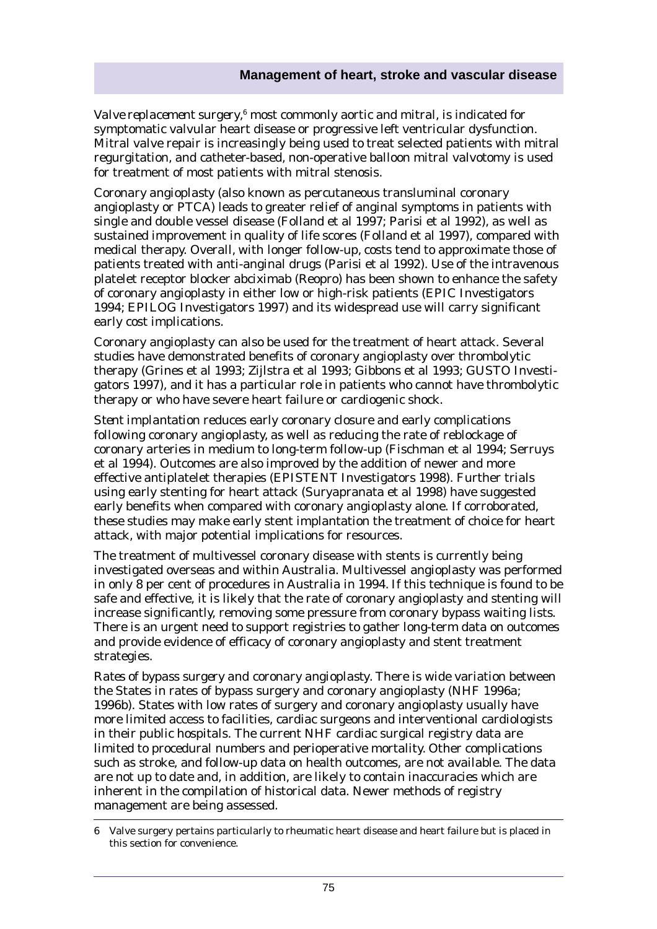Valve replacement surgery,<sup>6</sup> most commonly aortic and mitral, is indicated for symptomatic valvular heart disease or progressive left ventricular dysfunction. Mitral valve repair is increasingly being used to treat selected patients with mitral regurgitation, and catheter-based, non-operative balloon mitral valvotomy is used for treatment of most patients with mitral stenosis.

*Coronary angioplasty* (also known as percutaneous transluminal coronary angioplasty or PTCA) leads to greater relief of anginal symptoms in patients with single and double vessel disease (Folland et al 1997; Parisi et al 1992), as well as sustained improvement in quality of life scores (Folland et al 1997), compared with medical therapy. Overall, with longer follow-up, costs tend to approximate those of patients treated with anti-anginal drugs (Parisi et al 1992). Use of the intravenous platelet receptor blocker abciximab (Reopro) has been shown to enhance the safety of coronary angioplasty in either low or high-risk patients (EPIC Investigators 1994; EPILOG Investigators 1997) and its widespread use will carry significant early cost implications.

Coronary angioplasty can also be used for the treatment of heart attack. Several studies have demonstrated benefits of coronary angioplasty over thrombolytic therapy (Grines et al 1993; Zijlstra et al 1993; Gibbons et al 1993; GUSTO Investigators 1997), and it has a particular role in patients who cannot have thrombolytic therapy or who have severe heart failure or cardiogenic shock.

*Stent implantation* reduces early coronary closure and early complications following coronary angioplasty, as well as reducing the rate of reblockage of coronary arteries in medium to long-term follow-up (Fischman et al 1994; Serruys et al 1994). Outcomes are also improved by the addition of newer and more effective antiplatelet therapies (EPISTENT Investigators 1998). Further trials using early stenting for heart attack (Suryapranata et al 1998) have suggested early benefits when compared with coronary angioplasty alone. If corroborated, these studies may make early stent implantation the treatment of choice for heart attack, with major potential implications for resources.

The treatment of multivessel coronary disease with stents is currently being investigated overseas and within Australia. Multivessel angioplasty was performed in only 8 per cent of procedures in Australia in 1994. If this technique is found to be safe and effective, it is likely that the rate of coronary angioplasty and stenting will increase significantly, removing some pressure from coronary bypass waiting lists. There is an urgent need to support registries to gather long-term data on outcomes and provide evidence of efficacy of coronary angioplasty and stent treatment strategies.

*Rates of bypass surgery and coronary angioplasty*. There is wide variation between the States in rates of bypass surgery and coronary angioplasty (NHF 1996a; 1996b). States with low rates of surgery and coronary angioplasty usually have more limited access to facilities, cardiac surgeons and interventional cardiologists in their public hospitals. The current NHF cardiac surgical registry data are limited to procedural numbers and perioperative mortality. Other complications such as stroke, and follow-up data on health outcomes, are not available. The data are not up to date and, in addition, are likely to contain inaccuracies which are inherent in the compilation of historical data. Newer methods of registry management are being assessed.

<sup>6</sup> Valve surgery pertains particularly to rheumatic heart disease and heart failure but is placed in this section for convenience.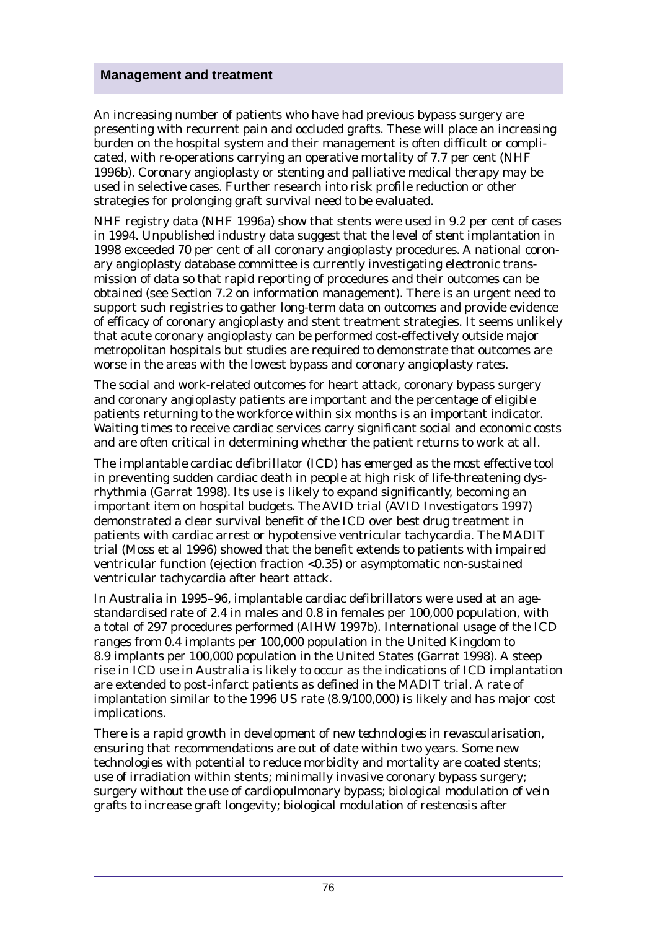An increasing number of patients who have had previous bypass surgery are presenting with recurrent pain and occluded grafts. These will place an increasing burden on the hospital system and their management is often difficult or complicated, with re-operations carrying an operative mortality of 7.7 per cent (NHF 1996b). Coronary angioplasty or stenting and palliative medical therapy may be used in selective cases. Further research into risk profile reduction or other strategies for prolonging graft survival need to be evaluated.

NHF registry data (NHF 1996a) show that stents were used in 9.2 per cent of cases in 1994. Unpublished industry data suggest that the level of stent implantation in 1998 exceeded 70 per cent of all coronary angioplasty procedures. A national coronary angioplasty database committee is currently investigating electronic transmission of data so that rapid reporting of procedures and their outcomes can be obtained (see Section 7.2 on information management). There is an urgent need to support such registries to gather long-term data on outcomes and provide evidence of efficacy of coronary angioplasty and stent treatment strategies. It seems unlikely that acute coronary angioplasty can be performed cost-effectively outside major metropolitan hospitals but studies are required to demonstrate that outcomes are worse in the areas with the lowest bypass and coronary angioplasty rates.

The social and work-related outcomes for heart attack, coronary bypass surgery and coronary angioplasty patients are important and the percentage of eligible patients returning to the workforce within six months is an important indicator. Waiting times to receive cardiac services carry significant social and economic costs and are often critical in determining whether the patient returns to work at all.

The *implantable cardiac defibrillator (ICD)* has emerged as the most effective tool in preventing sudden cardiac death in people at high risk of life-threatening dysrhythmia (Garrat 1998). Its use is likely to expand significantly, becoming an important item on hospital budgets. The AVID trial (AVID Investigators 1997) demonstrated a clear survival benefit of the ICD over best drug treatment in patients with cardiac arrest or hypotensive ventricular tachycardia. The MADIT trial (Moss et al 1996) showed that the benefit extends to patients with impaired ventricular function (ejection fraction <0.35) or asymptomatic non-sustained ventricular tachycardia after heart attack.

In Australia in 1995–96, implantable cardiac defibrillators were used at an agestandardised rate of 2.4 in males and 0.8 in females per 100,000 population, with a total of 297 procedures performed (AIHW 1997b). International usage of the ICD ranges from 0.4 implants per 100,000 population in the United Kingdom to 8.9 implants per 100,000 population in the United States (Garrat 1998). A steep rise in ICD use in Australia is likely to occur as the indications of ICD implantation are extended to post-infarct patients as defined in the MADIT trial. A rate of implantation similar to the 1996 US rate (8.9/100,000) is likely and has major cost implications.

There is a rapid growth in development of *new technologies* in revascularisation, ensuring that recommendations are out of date within two years. Some new technologies with potential to reduce morbidity and mortality are coated stents; use of irradiation within stents; minimally invasive coronary bypass surgery; surgery without the use of cardiopulmonary bypass; biological modulation of vein grafts to increase graft longevity; biological modulation of restenosis after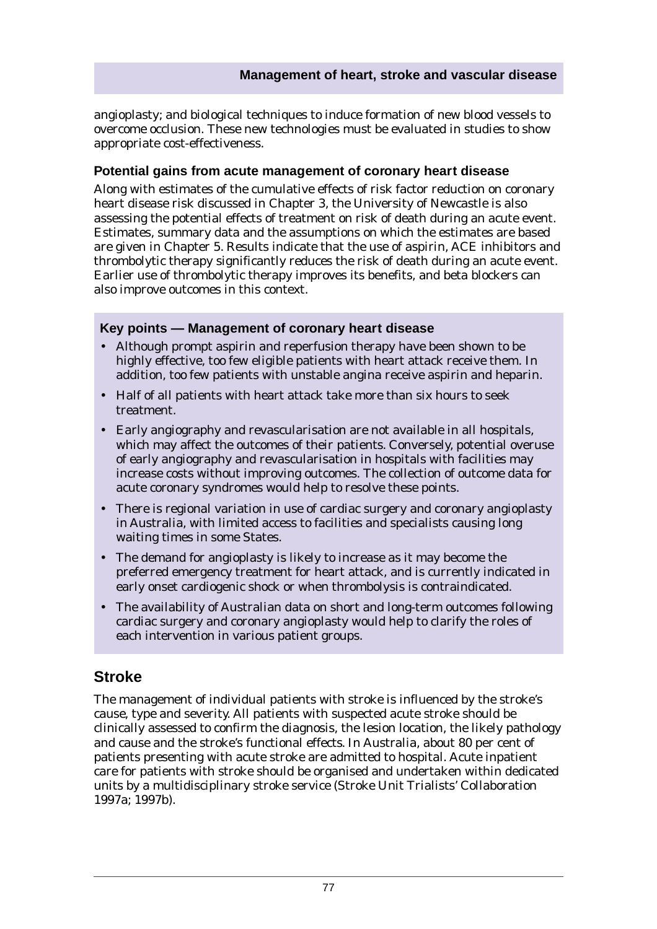angioplasty; and biological techniques to induce formation of new blood vessels to overcome occlusion. These new technologies must be evaluated in studies to show appropriate cost-effectiveness.

### **Potential gains from acute management of coronary heart disease**

Along with estimates of the cumulative effects of risk factor reduction on coronary heart disease risk discussed in Chapter 3, the University of Newcastle is also assessing the potential effects of treatment on risk of death during an acute event. Estimates, summary data and the assumptions on which the estimates are based are given in Chapter 5. Results indicate that the use of aspirin, ACE inhibitors and thrombolytic therapy significantly reduces the risk of death during an acute event. Earlier use of thrombolytic therapy improves its benefits, and beta blockers can also improve outcomes in this context.

### **Key points — Management of coronary heart disease**

- Although prompt aspirin and reperfusion therapy have been shown to be highly effective, too few eligible patients with heart attack receive them. In addition, too few patients with unstable angina receive aspirin and heparin.
- Half of all patients with heart attack take more than six hours to seek treatment.
- Early angiography and revascularisation are not available in all hospitals, which may affect the outcomes of their patients. Conversely, potential overuse of early angiography and revascularisation in hospitals with facilities may increase costs without improving outcomes. The collection of outcome data for acute coronary syndromes would help to resolve these points.
- There is regional variation in use of cardiac surgery and coronary angioplasty in Australia, with limited access to facilities and specialists causing long waiting times in some States.
- The demand for angioplasty is likely to increase as it may become the preferred emergency treatment for heart attack, and is currently indicated in early onset cardiogenic shock or when thrombolysis is contraindicated.
- The availability of Australian data on short and long-term outcomes following cardiac surgery and coronary angioplasty would help to clarify the roles of each intervention in various patient groups.

# **Stroke**

The management of individual patients with stroke is influenced by the stroke's cause, type and severity. All patients with suspected acute stroke should be clinically assessed to confirm the diagnosis, the lesion location, the likely pathology and cause and the stroke's functional effects. In Australia, about 80 per cent of patients presenting with acute stroke are admitted to hospital. Acute inpatient care for patients with stroke should be organised and undertaken within dedicated units by a multidisciplinary stroke service (Stroke Unit Trialists' Collaboration 1997a; 1997b).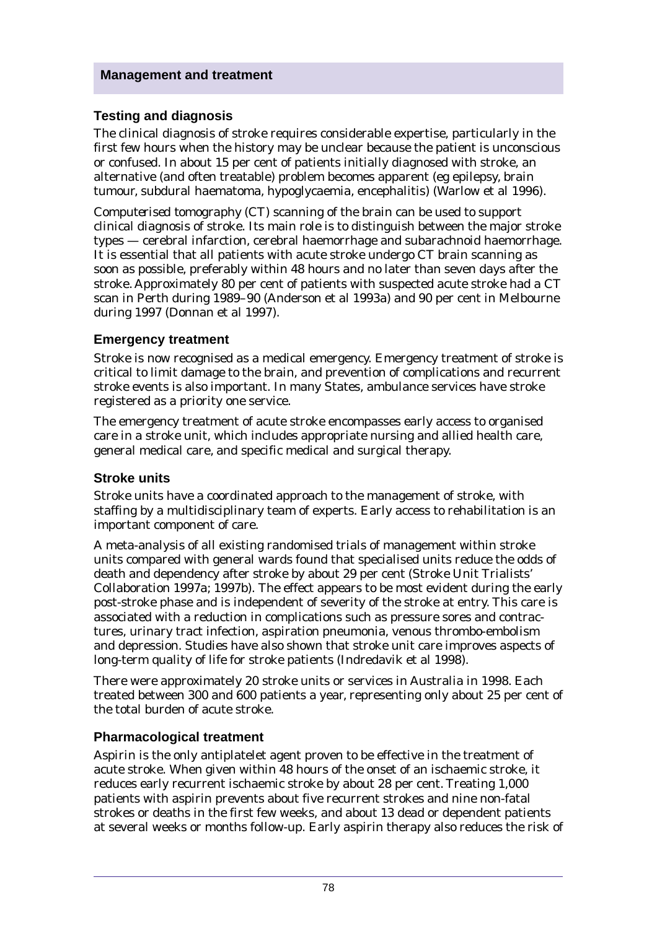### **Testing and diagnosis**

The clinical diagnosis of stroke requires considerable expertise, particularly in the first few hours when the history may be unclear because the patient is unconscious or confused. In about 15 per cent of patients initially diagnosed with stroke, an alternative (and often treatable) problem becomes apparent (eg epilepsy, brain tumour, subdural haematoma, hypoglycaemia, encephalitis) (Warlow et al 1996).

*Computerised tomography (CT)* scanning of the brain can be used to support clinical diagnosis of stroke. Its main role is to distinguish between the major stroke types — cerebral infarction, cerebral haemorrhage and subarachnoid haemorrhage. It is essential that all patients with acute stroke undergo CT brain scanning as soon as possible, preferably within 48 hours and no later than seven days after the stroke. Approximately 80 per cent of patients with suspected acute stroke had a CT scan in Perth during 1989–90 (Anderson et al 1993a) and 90 per cent in Melbourne during 1997 (Donnan et al 1997).

### **Emergency treatment**

Stroke is now recognised as a medical emergency. Emergency treatment of stroke is critical to limit damage to the brain, and prevention of complications and recurrent stroke events is also important. In many States, ambulance services have stroke registered as a priority one service.

The emergency treatment of acute stroke encompasses early access to organised care in a stroke unit, which includes appropriate nursing and allied health care, general medical care, and specific medical and surgical therapy.

### **Stroke units**

Stroke units have a coordinated approach to the management of stroke, with staffing by a multidisciplinary team of experts. Early access to rehabilitation is an important component of care.

A meta-analysis of all existing randomised trials of management within stroke units compared with general wards found that specialised units reduce the odds of death and dependency after stroke by about 29 per cent (Stroke Unit Trialists' Collaboration 1997a; 1997b). The effect appears to be most evident during the early post-stroke phase and is independent of severity of the stroke at entry. This care is associated with a reduction in complications such as pressure sores and contractures, urinary tract infection, aspiration pneumonia, venous thrombo-embolism and depression. Studies have also shown that stroke unit care improves aspects of long-term quality of life for stroke patients (Indredavik et al 1998).

There were approximately 20 stroke units or services in Australia in 1998. Each treated between 300 and 600 patients a year, representing only about 25 per cent of the total burden of acute stroke.

### **Pharmacological treatment**

*Aspirin* is the only antiplatelet agent proven to be effective in the treatment of acute stroke. When given within 48 hours of the onset of an ischaemic stroke, it reduces early recurrent ischaemic stroke by about 28 per cent. Treating 1,000 patients with aspirin prevents about five recurrent strokes and nine non-fatal strokes or deaths in the first few weeks, and about 13 dead or dependent patients at several weeks or months follow-up. Early aspirin therapy also reduces the risk of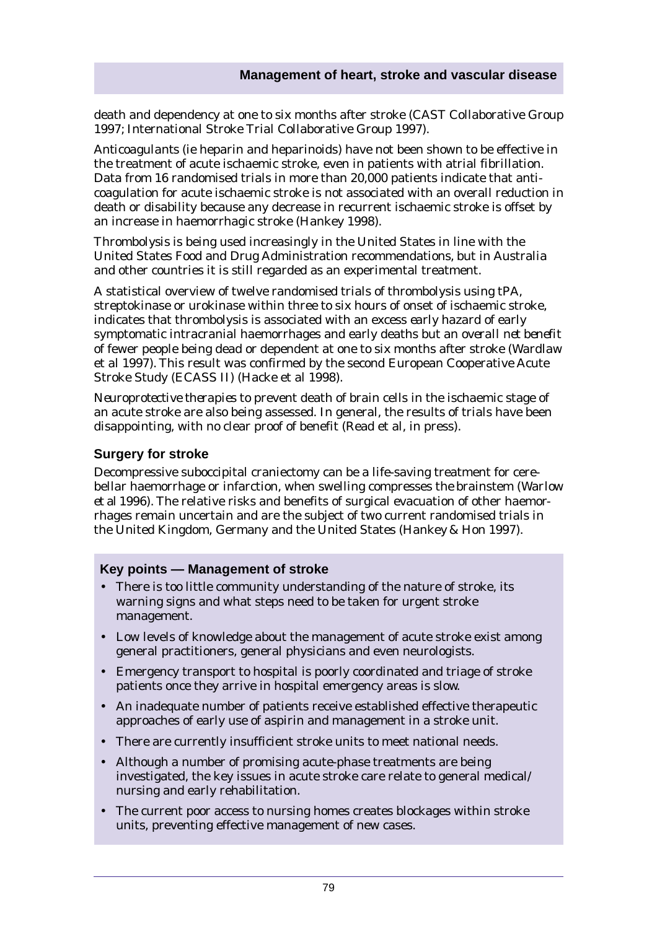death and dependency at one to six months after stroke (CAST Collaborative Group 1997; International Stroke Trial Collaborative Group 1997).

*Anticoagulants* (ie heparin and heparinoids) have not been shown to be effective in the treatment of acute ischaemic stroke, even in patients with atrial fibrillation. Data from 16 randomised trials in more than 20,000 patients indicate that anticoagulation for acute ischaemic stroke is not associated with an overall reduction in death or disability because any decrease in recurrent ischaemic stroke is offset by an increase in haemorrhagic stroke (Hankey 1998).

*Thrombolysis* is being used increasingly in the United States in line with the United States Food and Drug Administration recommendations, but in Australia and other countries it is still regarded as an experimental treatment.

A statistical overview of twelve randomised trials of thrombolysis using tPA, streptokinase or urokinase within three to six hours of onset of ischaemic stroke, indicates that thrombolysis is associated with an excess *early hazard* of early symptomatic intracranial haemorrhages and early deaths but an *overall net benefit* of fewer people being dead or dependent at one to six months after stroke (Wardlaw et al 1997). This result was confirmed by the second European Cooperative Acute Stroke Study (ECASS II) (Hacke et al 1998).

*Neuroprotective therapies* to prevent death of brain cells in the ischaemic stage of an acute stroke are also being assessed. In general, the results of trials have been disappointing, with no clear proof of benefit (Read et al, in press).

### **Surgery for stroke**

Decompressive suboccipital craniectomy can be a life-saving treatment for cerebellar haemorrhage or infarction, when swelling compresses the brainstem (Warlow et al 1996). The relative risks and benefits of surgical evacuation of other haemorrhages remain uncertain and are the subject of two current randomised trials in the United Kingdom, Germany and the United States (Hankey & Hon 1997).

### **Key points — Management of stroke**

- There is too little community understanding of the nature of stroke, its warning signs and what steps need to be taken for urgent stroke management.
- Low levels of knowledge about the management of acute stroke exist among general practitioners, general physicians and even neurologists.
- Emergency transport to hospital is poorly coordinated and triage of stroke patients once they arrive in hospital emergency areas is slow.
- An inadequate number of patients receive established effective therapeutic approaches of early use of aspirin and management in a stroke unit.
- There are currently insufficient stroke units to meet national needs.
- Although a number of promising acute-phase treatments are being investigated, the key issues in acute stroke care relate to general medical/ nursing and early rehabilitation.
- The current poor access to nursing homes creates blockages within stroke units, preventing effective management of new cases.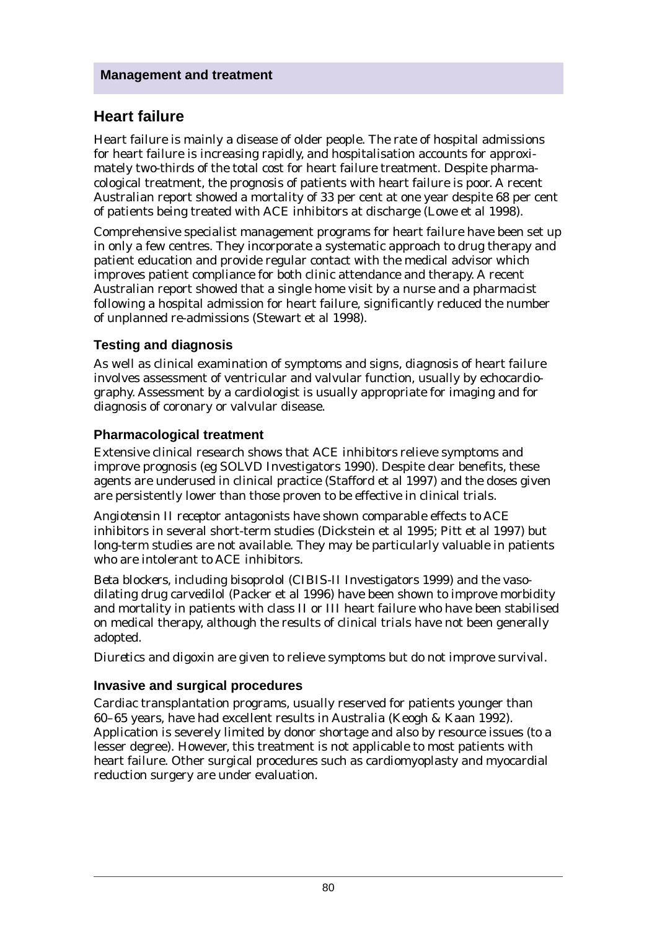# **Heart failure**

Heart failure is mainly a disease of older people. The rate of hospital admissions for heart failure is increasing rapidly, and hospitalisation accounts for approximately two-thirds of the total cost for heart failure treatment. Despite pharmacological treatment, the prognosis of patients with heart failure is poor. A recent Australian report showed a mortality of 33 per cent at one year despite 68 per cent of patients being treated with ACE inhibitors at discharge (Lowe et al 1998).

Comprehensive specialist management programs for heart failure have been set up in only a few centres. They incorporate a systematic approach to drug therapy and patient education and provide regular contact with the medical advisor which improves patient compliance for both clinic attendance and therapy. A recent Australian report showed that a single home visit by a nurse and a pharmacist following a hospital admission for heart failure, significantly reduced the number of unplanned re-admissions (Stewart et al 1998).

## **Testing and diagnosis**

As well as clinical examination of symptoms and signs, diagnosis of heart failure involves assessment of ventricular and valvular function, usually by echocardiography. Assessment by a cardiologist is usually appropriate for imaging and for diagnosis of coronary or valvular disease.

## **Pharmacological treatment**

Extensive clinical research shows that *ACE inhibitors* relieve symptoms and improve prognosis (eg SOLVD Investigators 1990). Despite clear benefits, these agents are underused in clinical practice (Stafford et al 1997) and the doses given are persistently lower than those proven to be effective in clinical trials.

*Angiotensin II receptor antagonists* have shown comparable effects to ACE inhibitors in several short-term studies (Dickstein et al 1995; Pitt et al 1997) but long-term studies are not available. They may be particularly valuable in patients who are intolerant to ACE inhibitors.

*Beta blockers*, including bisoprolol (CIBIS-II Investigators 1999) and the vasodilating drug carvedilol (Packer et al 1996) have been shown to improve morbidity and mortality in patients with class II or III heart failure who have been stabilised on medical therapy, although the results of clinical trials have not been generally adopted.

*Diuretics* and *digoxin* are given to relieve symptoms but do not improve survival.

### **Invasive and surgical procedures**

Cardiac transplantation programs, usually reserved for patients younger than 60–65 years, have had excellent results in Australia (Keogh & Kaan 1992). Application is severely limited by donor shortage and also by resource issues (to a lesser degree). However, this treatment is not applicable to most patients with heart failure. Other surgical procedures such as cardiomyoplasty and myocardial reduction surgery are under evaluation.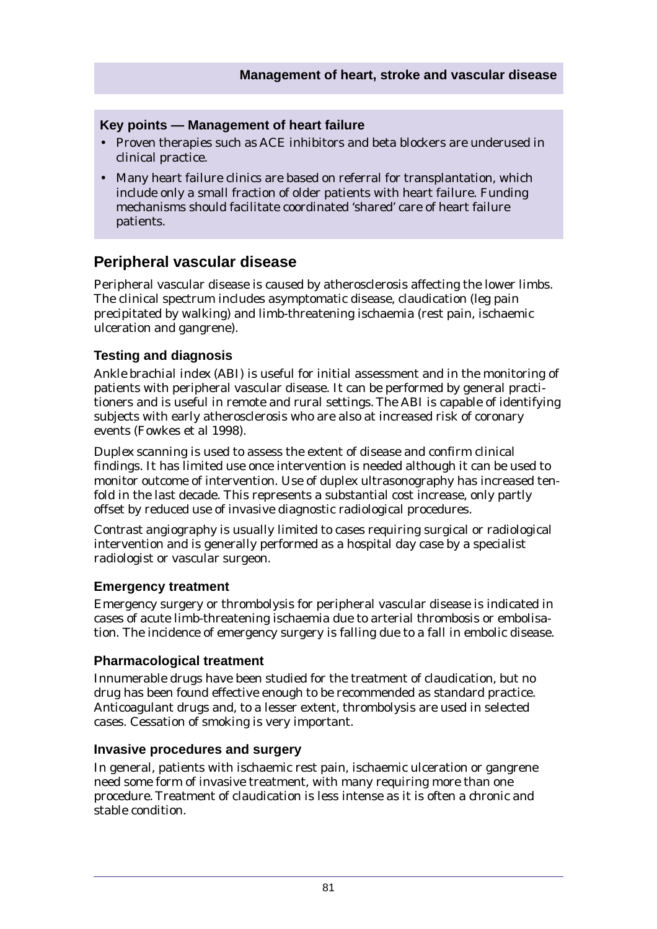### **Key points — Management of heart failure**

- Proven therapies such as ACE inhibitors and beta blockers are underused in clinical practice.
- Many heart failure clinics are based on referral for transplantation, which include only a small fraction of older patients with heart failure. Funding mechanisms should facilitate coordinated 'shared' care of heart failure patients.

## **Peripheral vascular disease**

Peripheral vascular disease is caused by atherosclerosis affecting the lower limbs. The clinical spectrum includes asymptomatic disease, claudication (leg pain precipitated by walking) and limb-threatening ischaemia (rest pain, ischaemic ulceration and gangrene).

### **Testing and diagnosis**

*Ankle brachial index (ABI)* is useful for initial assessment and in the monitoring of patients with peripheral vascular disease. It can be performed by general practitioners and is useful in remote and rural settings. The ABI is capable of identifying subjects with early atherosclerosis who are also at increased risk of coronary events (Fowkes et al 1998).

*Duplex scanning* is used to assess the extent of disease and confirm clinical findings. It has limited use once intervention is needed although it can be used to monitor outcome of intervention. Use of duplex ultrasonography has increased tenfold in the last decade. This represents a substantial cost increase, only partly offset by reduced use of invasive diagnostic radiological procedures.

*Contrast angiography* is usually limited to cases requiring surgical or radiological intervention and is generally performed as a hospital day case by a specialist radiologist or vascular surgeon.

### **Emergency treatment**

Emergency surgery or thrombolysis for peripheral vascular disease is indicated in cases of acute limb-threatening ischaemia due to arterial thrombosis or embolisation. The incidence of emergency surgery is falling due to a fall in embolic disease.

### **Pharmacological treatment**

Innumerable drugs have been studied for the treatment of claudication, but no drug has been found effective enough to be recommended as standard practice. Anticoagulant drugs and, to a lesser extent, thrombolysis are used in selected cases. Cessation of smoking is very important.

### **Invasive procedures and surgery**

In general, patients with ischaemic rest pain, ischaemic ulceration or gangrene need some form of invasive treatment, with many requiring more than one procedure. Treatment of claudication is less intense as it is often a chronic and stable condition.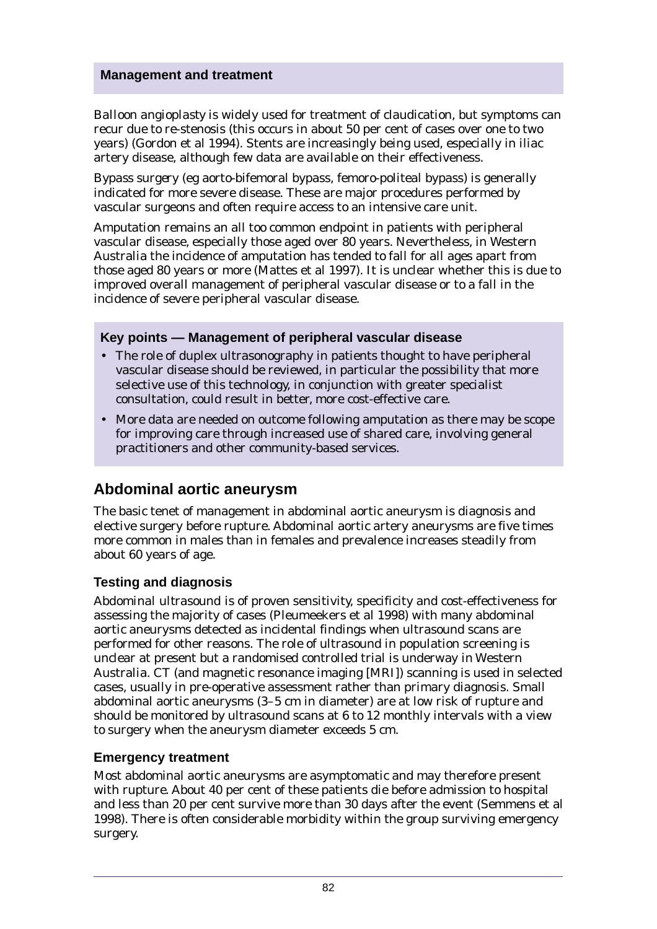*Balloon angioplasty* is widely used for treatment of claudication, but symptoms can recur due to re-stenosis (this occurs in about 50 per cent of cases over one to two years) (Gordon et al 1994). Stents are increasingly being used, especially in iliac artery disease, although few data are available on their effectiveness.

*Bypass surgery* (eg aorto-bifemoral bypass, femoro-politeal bypass) is generally indicated for more severe disease. These are major procedures performed by vascular surgeons and often require access to an intensive care unit.

*Amputation* remains an all too common endpoint in patients with peripheral vascular disease, especially those aged over 80 years. Nevertheless, in Western Australia the incidence of amputation has tended to fall for all ages apart from those aged 80 years or more (Mattes et al 1997). It is unclear whether this is due to improved overall management of peripheral vascular disease or to a fall in the incidence of severe peripheral vascular disease.

### **Key points — Management of peripheral vascular disease**

- The role of duplex ultrasonography in patients thought to have peripheral vascular disease should be reviewed, in particular the possibility that more selective use of this technology, in conjunction with greater specialist consultation, could result in better, more cost-effective care.
- More data are needed on outcome following amputation as there may be scope for improving care through increased use of shared care, involving general practitioners and other community-based services.

# **Abdominal aortic aneurysm**

The basic tenet of management in abdominal aortic aneurysm is diagnosis and elective surgery before rupture. Abdominal aortic artery aneurysms are five times more common in males than in females and prevalence increases steadily from about 60 years of age.

### **Testing and diagnosis**

*Abdominal ultrasound* is of proven sensitivity, specificity and cost-effectiveness for assessing the majority of cases (Pleumeekers et al 1998) with many abdominal aortic aneurysms detected as incidental findings when ultrasound scans are performed for other reasons. The role of ultrasound in population screening is unclear at present but a randomised controlled trial is underway in Western Australia. CT (and magnetic resonance imaging [MRI]) scanning is used in selected cases, usually in pre-operative assessment rather than primary diagnosis. Small abdominal aortic aneurysms (3–5 cm in diameter) are at low risk of rupture and should be monitored by ultrasound scans at 6 to 12 monthly intervals with a view to surgery when the aneurysm diameter exceeds 5 cm.

### **Emergency treatment**

Most abdominal aortic aneurysms are asymptomatic and may therefore present with rupture. About 40 per cent of these patients die before admission to hospital and less than 20 per cent survive more than 30 days after the event (Semmens et al 1998). There is often considerable morbidity within the group surviving emergency surgery.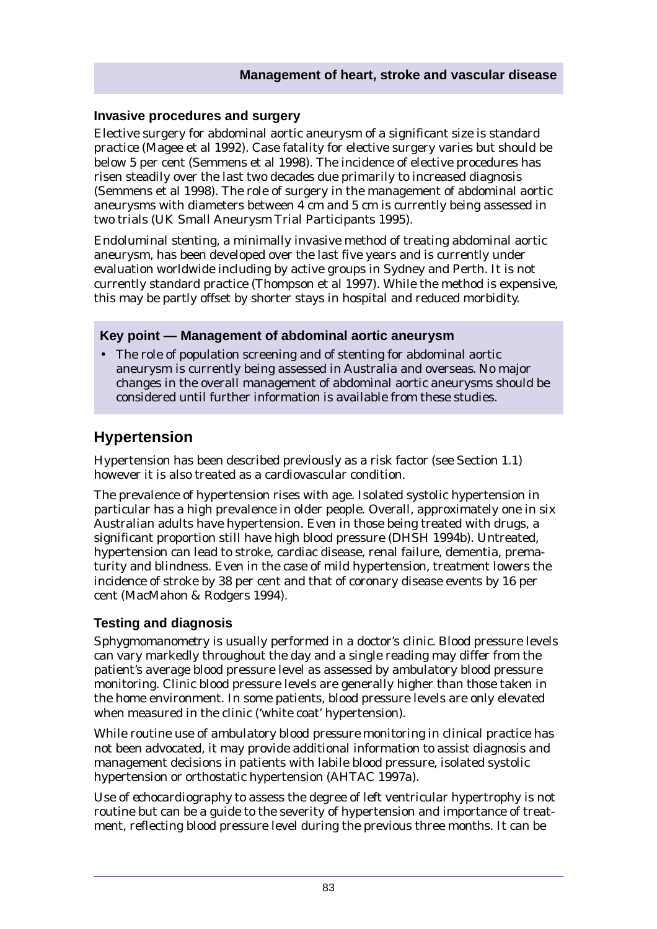### **Invasive procedures and surgery**

Elective surgery for abdominal aortic aneurysm of a significant size is standard practice (Magee et al 1992). Case fatality for elective surgery varies but should be below 5 per cent (Semmens et al 1998). The incidence of elective procedures has risen steadily over the last two decades due primarily to increased diagnosis (Semmens et al 1998). The role of surgery in the management of abdominal aortic aneurysms with diameters between 4 cm and 5 cm is currently being assessed in two trials (UK Small Aneurysm Trial Participants 1995).

*Endoluminal stenting*, a minimally invasive method of treating abdominal aortic aneurysm, has been developed over the last five years and is currently under evaluation worldwide including by active groups in Sydney and Perth. It is not currently standard practice (Thompson et al 1997). While the method is expensive, this may be partly offset by shorter stays in hospital and reduced morbidity.

### **Key point — Management of abdominal aortic aneurysm**

• The role of population screening and of stenting for abdominal aortic aneurysm is currently being assessed in Australia and overseas. No major changes in the overall management of abdominal aortic aneurysms should be considered until further information is available from these studies.

# **Hypertension**

Hypertension has been described previously as a risk factor (see Section 1.1) however it is also treated as a cardiovascular condition.

The prevalence of hypertension rises with age. Isolated systolic hypertension in particular has a high prevalence in older people. Overall, approximately one in six Australian adults have hypertension. Even in those being treated with drugs, a significant proportion still have high blood pressure (DHSH 1994b). Untreated, hypertension can lead to stroke, cardiac disease, renal failure, dementia, prematurity and blindness. Even in the case of mild hypertension, treatment lowers the incidence of stroke by 38 per cent and that of coronary disease events by 16 per cent (MacMahon & Rodgers 1994).

### **Testing and diagnosis**

*Sphygmomanometry* is usually performed in a doctor's clinic. Blood pressure levels can vary markedly throughout the day and a single reading may differ from the patient's average blood pressure level as assessed by ambulatory blood pressure monitoring. Clinic blood pressure levels are generally higher than those taken in the home environment. In some patients, blood pressure levels are only elevated when measured in the clinic ('white coat' hypertension).

While routine use of *ambulatory blood pressure monitoring* in clinical practice has not been advocated, it may provide additional information to assist diagnosis and management decisions in patients with labile blood pressure, isolated systolic hypertension or orthostatic hypertension (AHTAC 1997a).

Use of *echocardiography* to assess the degree of left ventricular hypertrophy is not routine but can be a guide to the severity of hypertension and importance of treatment, reflecting blood pressure level during the previous three months. It can be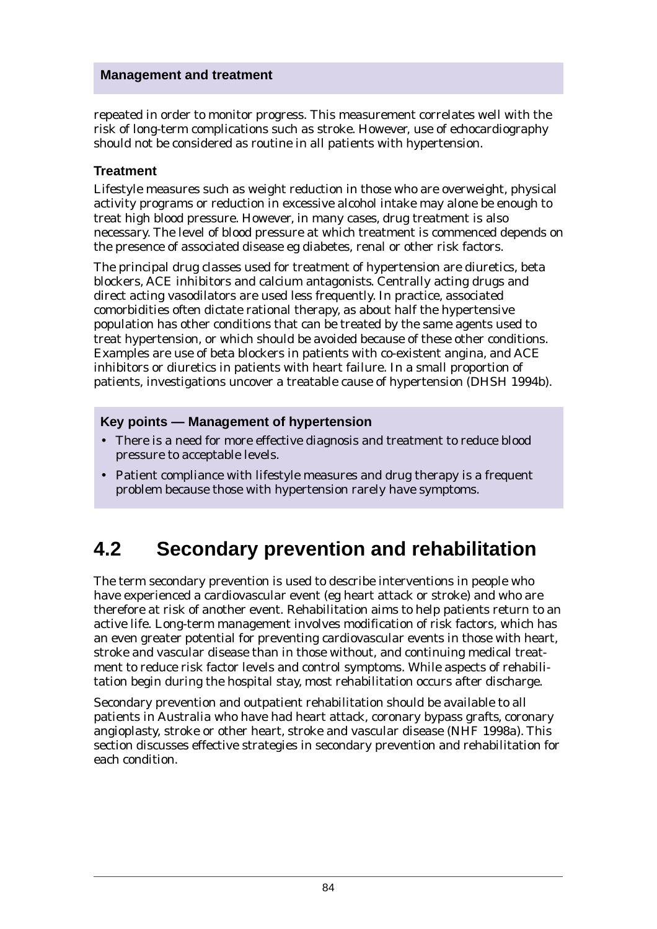repeated in order to monitor progress. This measurement correlates well with the risk of long-term complications such as stroke. However, use of echocardiography should not be considered as routine in all patients with hypertension.

### **Treatment**

Lifestyle measures such as weight reduction in those who are overweight, physical activity programs or reduction in excessive alcohol intake may alone be enough to treat high blood pressure. However, in many cases, drug treatment is also necessary. The level of blood pressure at which treatment is commenced depends on the presence of associated disease eg diabetes, renal or other risk factors.

The principal drug classes used for treatment of hypertension are diuretics, beta blockers, ACE inhibitors and calcium antagonists. Centrally acting drugs and direct acting vasodilators are used less frequently. In practice, associated comorbidities often dictate rational therapy, as about half the hypertensive population has other conditions that can be treated by the same agents used to treat hypertension, or which should be avoided because of these other conditions. Examples are use of beta blockers in patients with co-existent angina, and ACE inhibitors or diuretics in patients with heart failure. In a small proportion of patients, investigations uncover a treatable cause of hypertension (DHSH 1994b).

### **Key points — Management of hypertension**

- There is a need for more effective diagnosis and treatment to reduce blood pressure to acceptable levels.
- Patient compliance with lifestyle measures and drug therapy is a frequent problem because those with hypertension rarely have symptoms.

# **4.2 Secondary prevention and rehabilitation**

The term secondary prevention is used to describe interventions in people who have experienced a cardiovascular event (eg heart attack or stroke) and who are therefore at risk of another event. Rehabilitation aims to help patients return to an active life. Long-term management involves modification of risk factors, which has an even greater potential for preventing cardiovascular events in those with heart, stroke and vascular disease than in those without, and continuing medical treatment to reduce risk factor levels and control symptoms. While aspects of rehabilitation begin during the hospital stay, most rehabilitation occurs after discharge.

Secondary prevention and outpatient rehabilitation should be available to all patients in Australia who have had heart attack, coronary bypass grafts, coronary angioplasty, stroke or other heart, stroke and vascular disease (NHF 1998a). This section discusses effective strategies in secondary prevention and rehabilitation for each condition.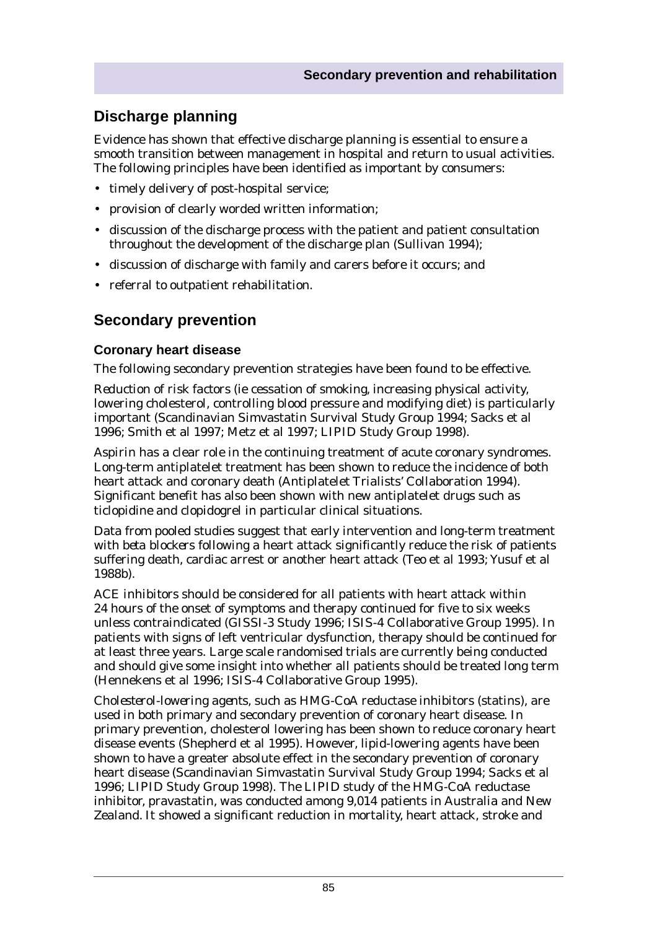# **Discharge planning**

Evidence has shown that effective discharge planning is essential to ensure a smooth transition between management in hospital and return to usual activities. The following principles have been identified as important by consumers:

- timely delivery of post-hospital service;
- provision of clearly worded written information;
- discussion of the discharge process with the patient and patient consultation throughout the development of the discharge plan (Sullivan 1994);
- discussion of discharge with family and carers before it occurs; and
- referral to outpatient rehabilitation.

# **Secondary prevention**

### **Coronary heart disease**

The following secondary prevention strategies have been found to be effective.

*Reduction of risk factors* (ie cessation of smoking, increasing physical activity, lowering cholesterol, controlling blood pressure and modifying diet) is particularly important (Scandinavian Simvastatin Survival Study Group 1994; Sacks et al 1996; Smith et al 1997; Metz et al 1997; LIPID Study Group 1998).

*Aspirin* has a clear role in the continuing treatment of acute coronary syndromes. Long-term antiplatelet treatment has been shown to reduce the incidence of both heart attack and coronary death (Antiplatelet Trialists' Collaboration 1994). Significant benefit has also been shown with new antiplatelet drugs such as ticlopidine and clopidogrel in particular clinical situations.

Data from pooled studies suggest that early intervention and long-term treatment with *beta blockers* following a heart attack significantly reduce the risk of patients suffering death, cardiac arrest or another heart attack (Teo et al 1993; Yusuf et al 1988b).

*ACE inhibitors* should be considered for all patients with heart attack within 24 hours of the onset of symptoms and therapy continued for five to six weeks unless contraindicated (GISSI-3 Study 1996; ISIS-4 Collaborative Group 1995). In patients with signs of left ventricular dysfunction, therapy should be continued for at least three years. Large scale randomised trials are currently being conducted and should give some insight into whether all patients should be treated long term (Hennekens et al 1996; ISIS-4 Collaborative Group 1995).

*Cholesterol-lowering agents*, such as HMG-CoA reductase inhibitors (statins), are used in both primary and secondary prevention of coronary heart disease. In primary prevention, cholesterol lowering has been shown to reduce coronary heart disease events (Shepherd et al 1995). However, lipid-lowering agents have been shown to have a greater absolute effect in the secondary prevention of coronary heart disease (Scandinavian Simvastatin Survival Study Group 1994; Sacks et al 1996; LIPID Study Group 1998). The LIPID study of the HMG-CoA reductase inhibitor, pravastatin, was conducted among 9,014 patients in Australia and New Zealand. It showed a significant reduction in mortality, heart attack, stroke and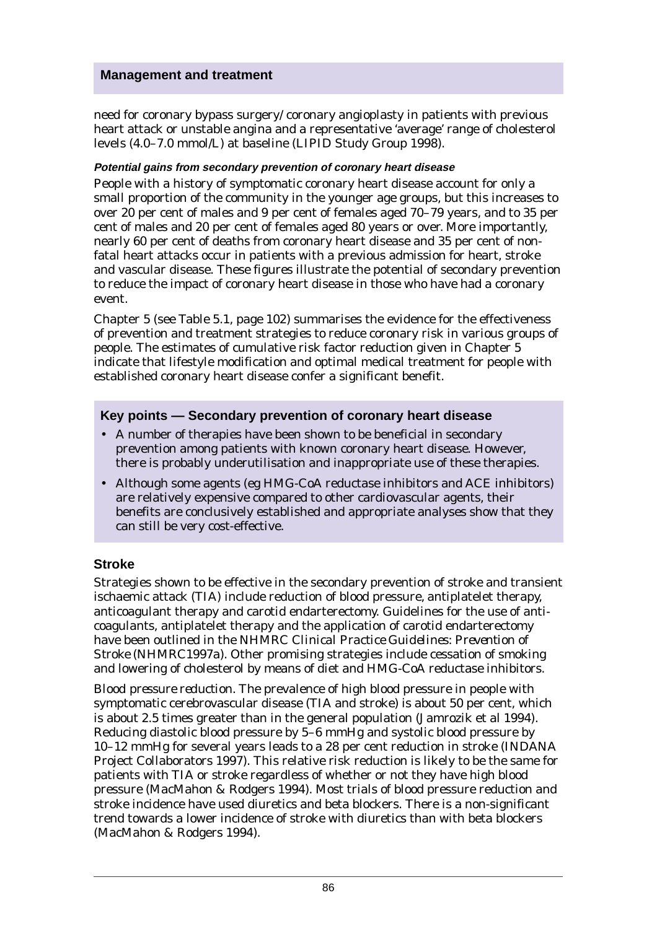need for coronary bypass surgery/ coronary angioplasty in patients with previous heart attack or unstable angina and a representative 'average' range of cholesterol levels (4.0–7.0 mmol/L) at baseline (LIPID Study Group 1998).

### **Potential gains from secondary prevention of coronary heart disease**

People with a history of symptomatic coronary heart disease account for only a small proportion of the community in the younger age groups, but this increases to over 20 per cent of males and 9 per cent of females aged 70–79 years, and to 35 per cent of males and 20 per cent of females aged 80 years or over. More importantly, nearly 60 per cent of deaths from coronary heart disease and 35 per cent of nonfatal heart attacks occur in patients with a previous admission for heart, stroke and vascular disease. These figures illustrate the potential of secondary prevention to reduce the impact of coronary heart disease in those who have had a coronary event.

Chapter 5 (see Table 5.1, page 102) summarises the evidence for the effectiveness of prevention and treatment strategies to reduce coronary risk in various groups of people. The estimates of cumulative risk factor reduction given in Chapter 5 indicate that lifestyle modification and optimal medical treatment for people with established coronary heart disease confer a significant benefit.

### **Key points — Secondary prevention of coronary heart disease**

- A number of therapies have been shown to be beneficial in secondary prevention among patients with known coronary heart disease. However, there is probably underutilisation and inappropriate use of these therapies.
- Although some agents (eg HMG-CoA reductase inhibitors and ACE inhibitors) are relatively expensive compared to other cardiovascular agents, their benefits are conclusively established and appropriate analyses show that they can still be very cost-effective.

### **Stroke**

Strategies shown to be effective in the secondary prevention of stroke and transient ischaemic attack (TIA) include reduction of blood pressure, antiplatelet therapy, anticoagulant therapy and carotid endarterectomy. Guidelines for the use of anticoagulants, antiplatelet therapy and the application of carotid endarterectomy have been outlined in the NHMRC *Clinical Practice Guidelines: Prevention of Stroke* (NHMRC1997a). Other promising strategies include cessation of smoking and lowering of cholesterol by means of diet and HMG-CoA reductase inhibitors.

*Blood pressure reduction.* The prevalence of high blood pressure in people with symptomatic cerebrovascular disease (TIA and stroke) is about 50 per cent, which is about 2.5 times greater than in the general population (Jamrozik et al 1994). Reducing diastolic blood pressure by 5–6 mmHg and systolic blood pressure by 10–12 mmHg for several years leads to a 28 per cent reduction in stroke (INDANA Project Collaborators 1997). This relative risk reduction is likely to be the same for patients with TIA or stroke regardless of whether or not they have high blood pressure (MacMahon & Rodgers 1994). Most trials of blood pressure reduction and stroke incidence have used diuretics and beta blockers. There is a non-significant trend towards a lower incidence of stroke with diuretics than with beta blockers (MacMahon & Rodgers 1994).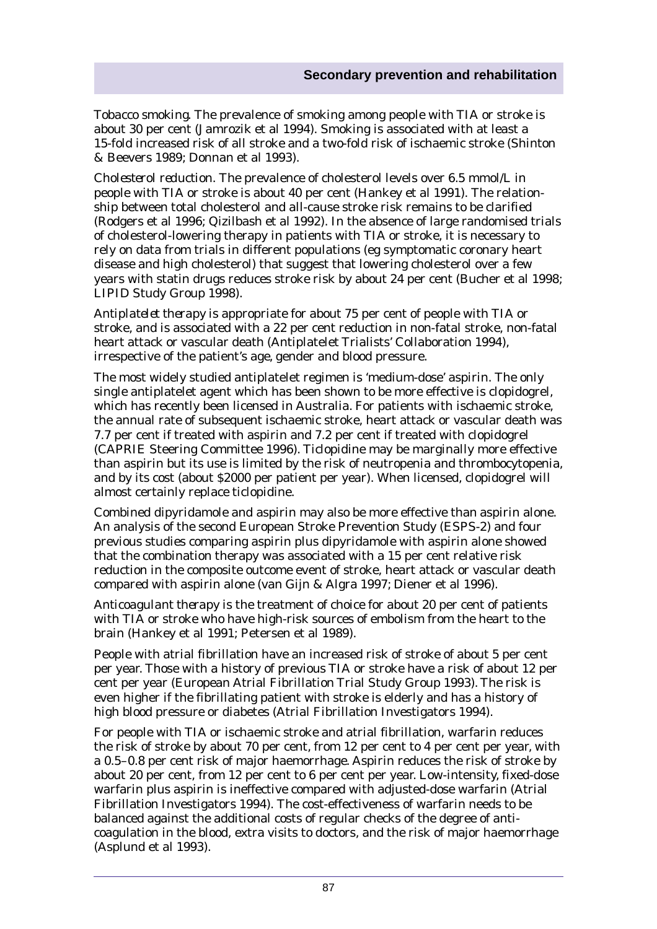*Tobacco smoking.* The prevalence of smoking among people with TIA or stroke is about 30 per cent (Jamrozik et al 1994). Smoking is associated with at least a 15-fold increased risk of all stroke and a two-fold risk of ischaemic stroke (Shinton & Beevers 1989; Donnan et al 1993).

*Cholesterol reduction.* The prevalence of cholesterol levels over 6.5 mmol/L in people with TIA or stroke is about 40 per cent (Hankey et al 1991). The relationship between total cholesterol and all-cause stroke risk remains to be clarified (Rodgers et al 1996; Qizilbash et al 1992). In the absence of large randomised trials of cholesterol-lowering therapy in patients with TIA or stroke, it is necessary to rely on data from trials in different populations (eg symptomatic coronary heart disease and high cholesterol) that suggest that lowering cholesterol over a few years with statin drugs reduces stroke risk by about 24 per cent (Bucher et al 1998; LIPID Study Group 1998).

*Antiplatelet therapy* is appropriate for about 75 per cent of people with TIA or stroke, and is associated with a 22 per cent reduction in non-fatal stroke, non-fatal heart attack or vascular death (Antiplatelet Trialists' Collaboration 1994), irrespective of the patient's age, gender and blood pressure.

The most widely studied antiplatelet regimen is 'medium-dose' aspirin. The only single antiplatelet agent which has been shown to be more effective is clopidogrel, which has recently been licensed in Australia. For patients with ischaemic stroke, the annual rate of subsequent ischaemic stroke, heart attack or vascular death was 7.7 per cent if treated with aspirin and 7.2 per cent if treated with clopidogrel (CAPRIE Steering Committee 1996). Ticlopidine may be marginally more effective than aspirin but its use is limited by the risk of neutropenia and thrombocytopenia, and by its cost (about \$2000 per patient per year). When licensed, clopidogrel will almost certainly replace ticlopidine.

Combined dipyridamole and aspirin may also be more effective than aspirin alone. An analysis of the second European Stroke Prevention Study (ESPS-2) and four previous studies comparing aspirin plus dipyridamole with aspirin alone showed that the combination therapy was associated with a 15 per cent relative risk reduction in the composite outcome event of stroke, heart attack or vascular death compared with aspirin alone (van Gijn & Algra 1997; Diener et al 1996).

*Anticoagulant therapy* is the treatment of choice for about 20 per cent of patients with TIA or stroke who have high-risk sources of embolism from the heart to the brain (Hankey et al 1991; Petersen et al 1989).

People with atrial fibrillation have an increased risk of stroke of about 5 per cent per year. Those with a history of previous TIA or stroke have a risk of about 12 per cent per year (European Atrial Fibrillation Trial Study Group 1993). The risk is even higher if the fibrillating patient with stroke is elderly and has a history of high blood pressure or diabetes (Atrial Fibrillation Investigators 1994).

For people with TIA or ischaemic stroke and atrial fibrillation, warfarin reduces the risk of stroke by about 70 per cent, from 12 per cent to 4 per cent per year, with a 0.5–0.8 per cent risk of major haemorrhage. Aspirin reduces the risk of stroke by about 20 per cent, from 12 per cent to 6 per cent per year. Low-intensity, fixed-dose warfarin plus aspirin is ineffective compared with adjusted-dose warfarin (Atrial Fibrillation Investigators 1994). The cost-effectiveness of warfarin needs to be balanced against the additional costs of regular checks of the degree of anticoagulation in the blood, extra visits to doctors, and the risk of major haemorrhage (Asplund et al 1993).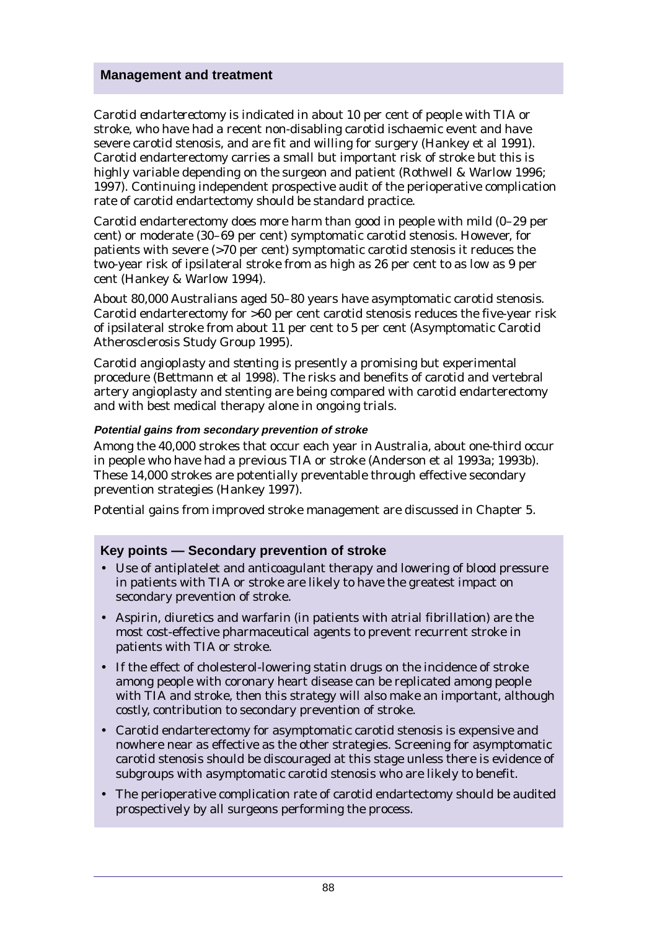*Carotid endarterectomy* is indicated in about 10 per cent of people with TIA or stroke, who have had a recent non-disabling carotid ischaemic event and have severe carotid stenosis, and are fit and willing for surgery (Hankey et al 1991). Carotid endarterectomy carries a small but important risk of stroke but this is highly variable depending on the surgeon and patient (Rothwell & Warlow 1996; 1997). Continuing independent prospective audit of the perioperative complication rate of carotid endartectomy should be standard practice.

Carotid endarterectomy does more harm than good in people with mild (0–29 per cent) or moderate (30–69 per cent) symptomatic carotid stenosis. However, for patients with severe (>70 per cent) symptomatic carotid stenosis it reduces the two-year risk of ipsilateral stroke from as high as 26 per cent to as low as 9 per cent (Hankey & Warlow 1994).

About 80,000 Australians aged 50–80 years have asymptomatic carotid stenosis. Carotid endarterectomy for >60 per cent carotid stenosis reduces the five-year risk of ipsilateral stroke from about 11 per cent to 5 per cent (Asymptomatic Carotid Atherosclerosis Study Group 1995).

*Carotid angioplasty and stenting* is presently a promising but experimental procedure (Bettmann et al 1998). The risks and benefits of carotid and vertebral artery angioplasty and stenting are being compared with carotid endarterectomy and with best medical therapy alone in ongoing trials.

### **Potential gains from secondary prevention of stroke**

Among the 40,000 strokes that occur each year in Australia, about one-third occur in people who have had a previous TIA or stroke (Anderson et al 1993a; 1993b). These 14,000 strokes are potentially preventable through effective secondary prevention strategies (Hankey 1997).

Potential gains from improved stroke management are discussed in Chapter 5.

### **Key points — Secondary prevention of stroke**

- Use of antiplatelet and anticoagulant therapy and lowering of blood pressure in patients with TIA or stroke are likely to have the greatest impact on secondary prevention of stroke.
- Aspirin, diuretics and warfarin (in patients with atrial fibrillation) are the most cost-effective pharmaceutical agents to prevent recurrent stroke in patients with TIA or stroke.
- If the effect of cholesterol-lowering statin drugs on the incidence of stroke among people with coronary heart disease can be replicated among people with TIA and stroke, then this strategy will also make an important, although costly, contribution to secondary prevention of stroke.
- Carotid endarterectomy for asymptomatic carotid stenosis is expensive and nowhere near as effective as the other strategies. Screening for asymptomatic carotid stenosis should be discouraged at this stage unless there is evidence of subgroups with asymptomatic carotid stenosis who are likely to benefit.
- The perioperative complication rate of carotid endartectomy should be audited prospectively by all surgeons performing the process.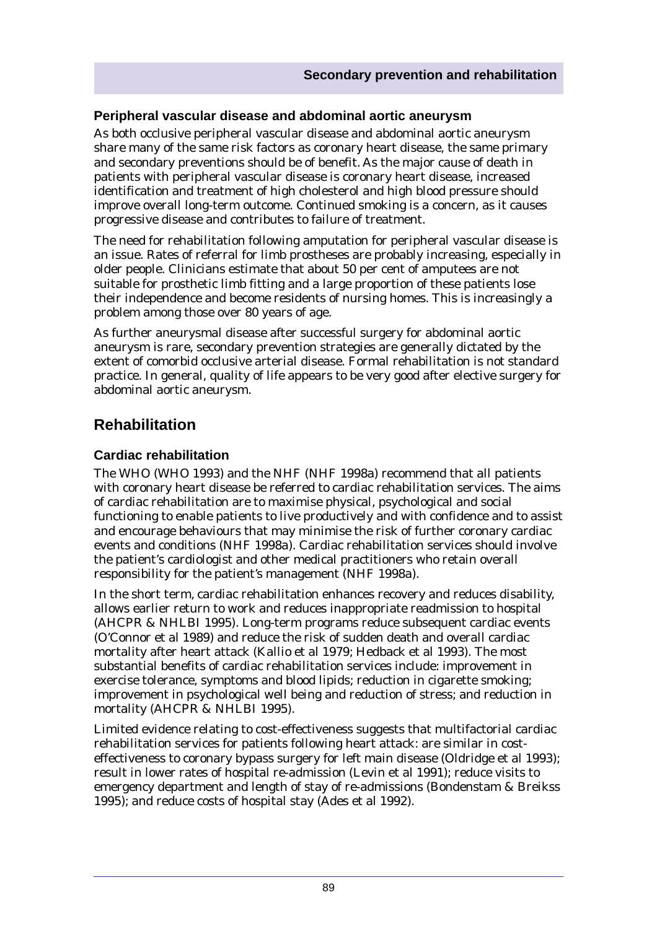### **Peripheral vascular disease and abdominal aortic aneurysm**

As both occlusive peripheral vascular disease and abdominal aortic aneurysm share many of the same risk factors as coronary heart disease, the same primary and secondary preventions should be of benefit. As the major cause of death in patients with peripheral vascular disease is coronary heart disease, increased identification and treatment of high cholesterol and high blood pressure should improve overall long-term outcome. Continued smoking is a concern, as it causes progressive disease and contributes to failure of treatment.

The need for rehabilitation following amputation for peripheral vascular disease is an issue. Rates of referral for limb prostheses are probably increasing, especially in older people. Clinicians estimate that about 50 per cent of amputees are not suitable for prosthetic limb fitting and a large proportion of these patients lose their independence and become residents of nursing homes. This is increasingly a problem among those over 80 years of age.

As further aneurysmal disease after successful surgery for abdominal aortic aneurysm is rare, secondary prevention strategies are generally dictated by the extent of comorbid occlusive arterial disease. Formal rehabilitation is not standard practice. In general, quality of life appears to be very good after elective surgery for abdominal aortic aneurysm.

# **Rehabilitation**

### **Cardiac rehabilitation**

The WHO (WHO 1993) and the NHF (NHF 1998a) recommend that all patients with coronary heart disease be referred to cardiac rehabilitation services. The aims of cardiac rehabilitation are to maximise physical, psychological and social functioning to enable patients to live productively and with confidence and to assist and encourage behaviours that may minimise the risk of further coronary cardiac events and conditions (NHF 1998a). Cardiac rehabilitation services should involve the patient's cardiologist and other medical practitioners who retain overall responsibility for the patient's management (NHF 1998a).

In the short term, cardiac rehabilitation enhances recovery and reduces disability, allows earlier return to work and reduces inappropriate readmission to hospital (AHCPR & NHLBI 1995). Long-term programs reduce subsequent cardiac events (O'Connor et al 1989) and reduce the risk of sudden death and overall cardiac mortality after heart attack (Kallio et al 1979; Hedback et al 1993). The most substantial benefits of cardiac rehabilitation services include: improvement in exercise tolerance, symptoms and blood lipids; reduction in cigarette smoking; improvement in psychological well being and reduction of stress; and reduction in mortality (AHCPR & NHLBI 1995).

Limited evidence relating to cost-effectiveness suggests that multifactorial cardiac rehabilitation services for patients following heart attack: are similar in costeffectiveness to coronary bypass surgery for left main disease (Oldridge et al 1993); result in lower rates of hospital re-admission (Levin et al 1991); reduce visits to emergency department and length of stay of re-admissions (Bondenstam & Breikss 1995); and reduce costs of hospital stay (Ades et al 1992).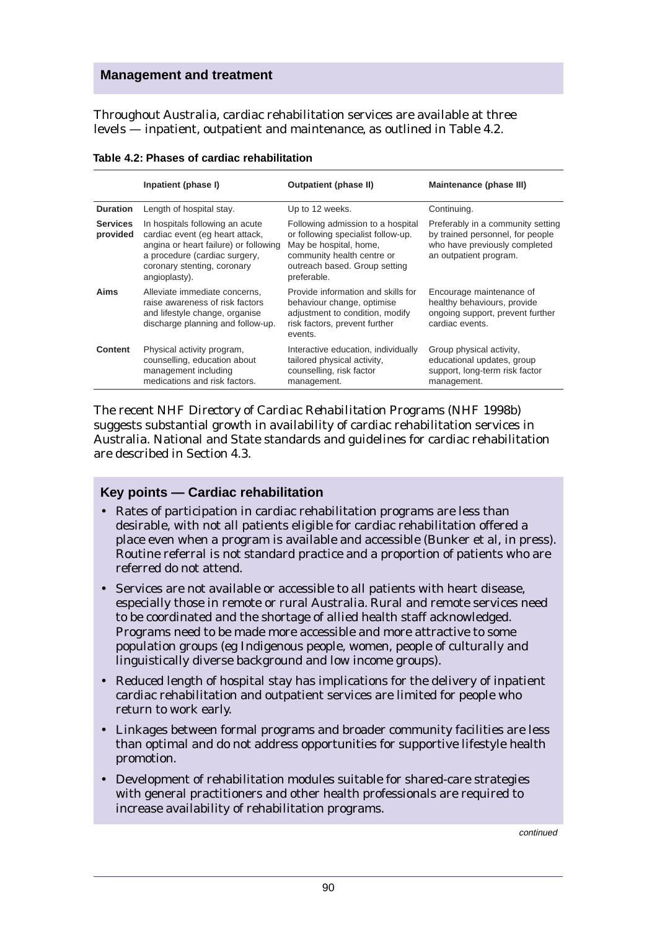Throughout Australia, cardiac rehabilitation services are available at three levels — inpatient, outpatient and maintenance, as outlined in Table 4.2.

|                             | Inpatient (phase I)                                                                                                                                                                          | Outpatient (phase II)                                                                                                                                                           | Maintenance (phase III)                                                                                                          |
|-----------------------------|----------------------------------------------------------------------------------------------------------------------------------------------------------------------------------------------|---------------------------------------------------------------------------------------------------------------------------------------------------------------------------------|----------------------------------------------------------------------------------------------------------------------------------|
| <b>Duration</b>             | Length of hospital stay.                                                                                                                                                                     | Up to 12 weeks.                                                                                                                                                                 | Continuing.                                                                                                                      |
| <b>Services</b><br>provided | In hospitals following an acute<br>cardiac event (eq heart attack,<br>angina or heart failure) or following<br>a procedure (cardiac surgery,<br>coronary stenting, coronary<br>angioplasty). | Following admission to a hospital<br>or following specialist follow-up.<br>May be hospital, home,<br>community health centre or<br>outreach based. Group setting<br>preferable. | Preferably in a community setting<br>by trained personnel, for people<br>who have previously completed<br>an outpatient program. |
| Aims                        | Alleviate immediate concerns,<br>raise awareness of risk factors<br>and lifestyle change, organise<br>discharge planning and follow-up.                                                      | Provide information and skills for<br>behaviour change, optimise<br>adjustment to condition, modify<br>risk factors, prevent further<br>events.                                 | Encourage maintenance of<br>healthy behaviours, provide<br>ongoing support, prevent further<br>cardiac events.                   |
| Content                     | Physical activity program,<br>counselling, education about<br>management including<br>medications and risk factors.                                                                          | Interactive education, individually<br>tailored physical activity,<br>counselling, risk factor<br>management.                                                                   | Group physical activity,<br>educational updates, group<br>support, long-term risk factor<br>management.                          |

**Table 4.2: Phases of cardiac rehabilitation**

The recent NHF *Directory of Cardiac Rehabilitation Programs* (NHF 1998b) suggests substantial growth in availability of cardiac rehabilitation services in Australia. National and State standards and guidelines for cardiac rehabilitation are described in Section 4.3.

### **Key points — Cardiac rehabilitation**

- Rates of participation in cardiac rehabilitation programs are less than desirable, with not all patients eligible for cardiac rehabilitation offered a place even when a program is available and accessible (Bunker et al, in press). Routine referral is not standard practice and a proportion of patients who are referred do not attend.
- Services are not available or accessible to all patients with heart disease, especially those in remote or rural Australia. Rural and remote services need to be coordinated and the shortage of allied health staff acknowledged. Programs need to be made more accessible and more attractive to some population groups (eg Indigenous people, women, people of culturally and linguistically diverse background and low income groups).
- Reduced length of hospital stay has implications for the delivery of inpatient cardiac rehabilitation and outpatient services are limited for people who return to work early.
- Linkages between formal programs and broader community facilities are less than optimal and do not address opportunities for supportive lifestyle health promotion.
- Development of rehabilitation modules suitable for shared-care strategies with general practitioners and other health professionals are required to increase availability of rehabilitation programs.

continued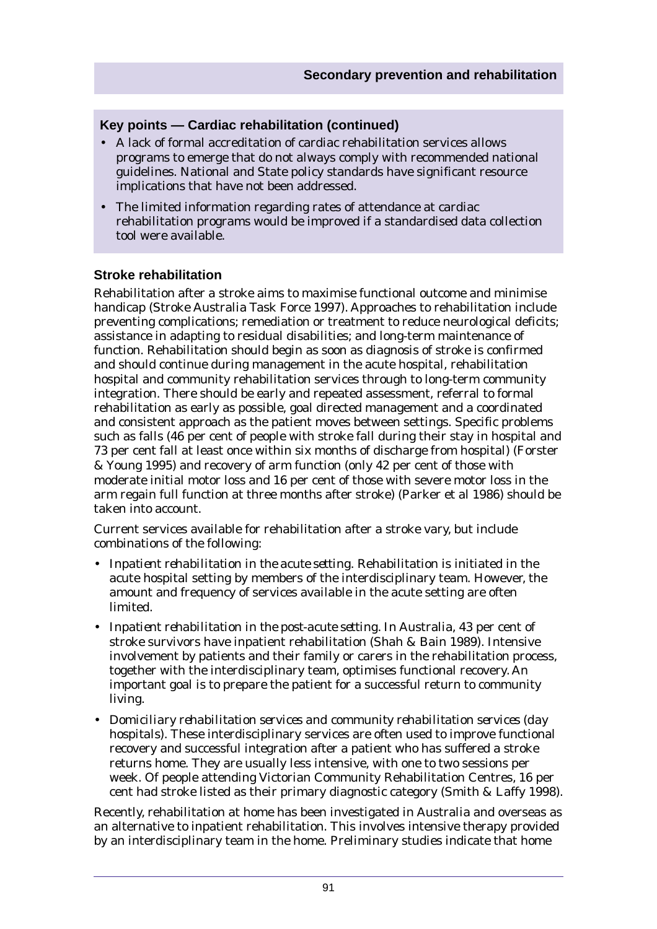### **Key points — Cardiac rehabilitation (continued)**

- A lack of formal accreditation of cardiac rehabilitation services allows programs to emerge that do not always comply with recommended national guidelines. National and State policy standards have significant resource implications that have not been addressed.
- The limited information regarding rates of attendance at cardiac rehabilitation programs would be improved if a standardised data collection tool were available.

### **Stroke rehabilitation**

Rehabilitation after a stroke aims to maximise functional outcome and minimise handicap (Stroke Australia Task Force 1997). Approaches to rehabilitation include preventing complications; remediation or treatment to reduce neurological deficits; assistance in adapting to residual disabilities; and long-term maintenance of function. Rehabilitation should begin as soon as diagnosis of stroke is confirmed and should continue during management in the acute hospital, rehabilitation hospital and community rehabilitation services through to long-term community integration. There should be early and repeated assessment, referral to formal rehabilitation as early as possible, goal directed management and a coordinated and consistent approach as the patient moves between settings. Specific problems such as falls (46 per cent of people with stroke fall during their stay in hospital and 73 per cent fall at least once within six months of discharge from hospital) (Forster & Young 1995) and recovery of arm function (only 42 per cent of those with moderate initial motor loss and 16 per cent of those with severe motor loss in the arm regain full function at three months after stroke) (Parker et al 1986) should be taken into account.

Current services available for rehabilitation after a stroke vary, but include combinations of the following:

- *Inpatient rehabilitation in the acute setting*. Rehabilitation is initiated in the acute hospital setting by members of the interdisciplinary team. However, the amount and frequency of services available in the acute setting are often limited.
- *Inpatient rehabilitation in the post-acute setting*. In Australia, 43 per cent of stroke survivors have inpatient rehabilitation (Shah & Bain 1989). Intensive involvement by patients and their family or carers in the rehabilitation process, together with the interdisciplinary team, optimises functional recovery. An important goal is to prepare the patient for a successful return to community living.
- *Domiciliary rehabilitation services and community rehabilitation services (day hospitals).* These interdisciplinary services are often used to improve functional recovery and successful integration after a patient who has suffered a stroke returns home. They are usually less intensive, with one to two sessions per week. Of people attending Victorian Community Rehabilitation Centres, 16 per cent had stroke listed as their primary diagnostic category (Smith & Laffy 1998).

Recently, rehabilitation at home has been investigated in Australia and overseas as an alternative to inpatient rehabilitation. This involves intensive therapy provided by an interdisciplinary team in the home. Preliminary studies indicate that home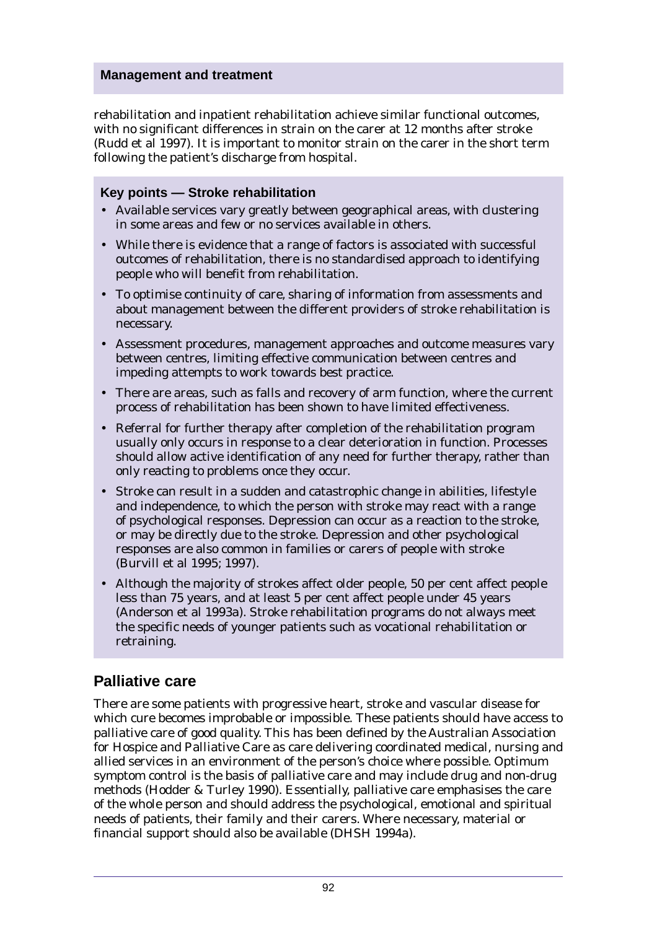rehabilitation and inpatient rehabilitation achieve similar functional outcomes, with no significant differences in strain on the carer at 12 months after stroke (Rudd et al 1997). It is important to monitor strain on the carer in the short term following the patient's discharge from hospital.

### **Key points — Stroke rehabilitation**

- Available services vary greatly between geographical areas, with clustering in some areas and few or no services available in others.
- While there is evidence that a range of factors is associated with successful outcomes of rehabilitation, there is no standardised approach to identifying people who will benefit from rehabilitation.
- To optimise continuity of care, sharing of information from assessments and about management between the different providers of stroke rehabilitation is necessary.
- Assessment procedures, management approaches and outcome measures vary between centres, limiting effective communication between centres and impeding attempts to work towards best practice.
- There are areas, such as falls and recovery of arm function, where the current process of rehabilitation has been shown to have limited effectiveness.
- Referral for further therapy after completion of the rehabilitation program usually only occurs in response to a clear deterioration in function. Processes should allow active identification of any need for further therapy, rather than only reacting to problems once they occur.
- Stroke can result in a sudden and catastrophic change in abilities, lifestyle and independence, to which the person with stroke may react with a range of psychological responses. Depression can occur as a reaction to the stroke, or may be directly due to the stroke. Depression and other psychological responses are also common in families or carers of people with stroke (Burvill et al 1995; 1997).
- Although the majority of strokes affect older people, 50 per cent affect people less than 75 years, and at least 5 per cent affect people under 45 years (Anderson et al 1993a). Stroke rehabilitation programs do not always meet the specific needs of younger patients such as vocational rehabilitation or retraining.

# **Palliative care**

There are some patients with progressive heart, stroke and vascular disease for which cure becomes improbable or impossible. These patients should have access to palliative care of good quality. This has been defined by the Australian Association for Hospice and Palliative Care as care delivering coordinated medical, nursing and allied services in an environment of the person's choice where possible. Optimum symptom control is the basis of palliative care and may include drug and non-drug methods (Hodder & Turley 1990). Essentially, palliative care emphasises the care of the whole person and should address the psychological, emotional and spiritual needs of patients, their family and their carers. Where necessary, material or financial support should also be available (DHSH 1994a).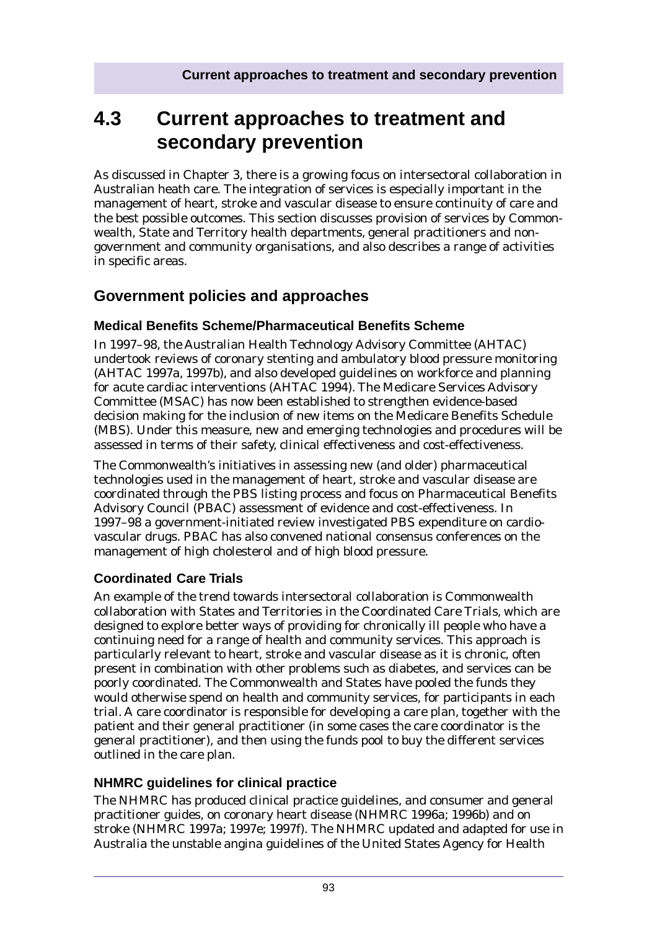# **4.3 Current approaches to treatment and secondary prevention**

As discussed in Chapter 3, there is a growing focus on intersectoral collaboration in Australian heath care. The integration of services is especially important in the management of heart, stroke and vascular disease to ensure continuity of care and the best possible outcomes. This section discusses provision of services by Commonwealth, State and Territory health departments, general practitioners and nongovernment and community organisations, and also describes a range of activities in specific areas.

# **Government policies and approaches**

### **Medical Benefits Scheme/Pharmaceutical Benefits Scheme**

In 1997–98, the Australian Health Technology Advisory Committee (AHTAC) undertook reviews of coronary stenting and ambulatory blood pressure monitoring (AHTAC 1997a, 1997b), and also developed guidelines on workforce and planning for acute cardiac interventions (AHTAC 1994). The Medicare Services Advisory Committee (MSAC) has now been established to strengthen evidence-based decision making for the inclusion of new items on the Medicare Benefits Schedule (MBS). Under this measure, new and emerging technologies and procedures will be assessed in terms of their safety, clinical effectiveness and cost-effectiveness.

The Commonwealth's initiatives in assessing new (and older) pharmaceutical technologies used in the management of heart, stroke and vascular disease are coordinated through the PBS listing process and focus on Pharmaceutical Benefits Advisory Council (PBAC) assessment of evidence and cost-effectiveness. In 1997–98 a government-initiated review investigated PBS expenditure on cardiovascular drugs. PBAC has also convened national consensus conferences on the management of high cholesterol and of high blood pressure.

## **Coordinated Care Trials**

An example of the trend towards intersectoral collaboration is Commonwealth collaboration with States and Territories in the Coordinated Care Trials, which are designed to explore better ways of providing for chronically ill people who have a continuing need for a range of health and community services. This approach is particularly relevant to heart, stroke and vascular disease as it is chronic, often present in combination with other problems such as diabetes, and services can be poorly coordinated. The Commonwealth and States have pooled the funds they would otherwise spend on health and community services, for participants in each trial. A care coordinator is responsible for developing a care plan, together with the patient and their general practitioner (in some cases the care coordinator is the general practitioner), and then using the funds pool to buy the different services outlined in the care plan.

### **NHMRC guidelines for clinical practice**

The NHMRC has produced clinical practice guidelines, and consumer and general practitioner guides, on coronary heart disease (NHMRC 1996a; 1996b) and on stroke (NHMRC 1997a; 1997e; 1997f). The NHMRC updated and adapted for use in Australia the unstable angina guidelines of the United States Agency for Health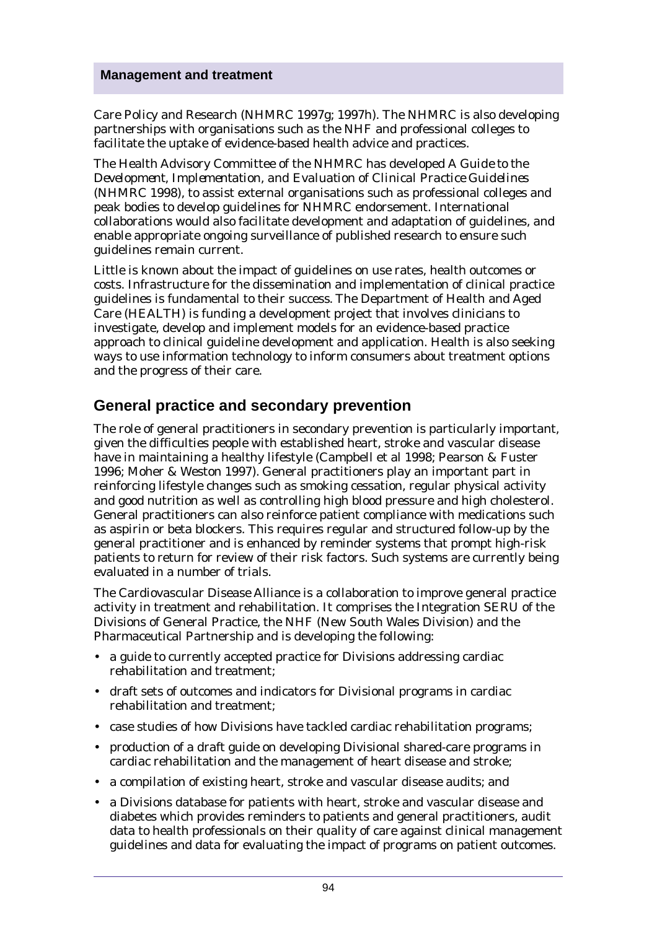Care Policy and Research (NHMRC 1997g; 1997h). The NHMRC is also developing partnerships with organisations such as the NHF and professional colleges to facilitate the uptake of evidence-based health advice and practices.

The Health Advisory Committee of the NHMRC has developed *A Guide to the Development, Implementation, and Evaluation of Clinical Practice Guidelines* (NHMRC 1998), to assist external organisations such as professional colleges and peak bodies to develop guidelines for NHMRC endorsement. International collaborations would also facilitate development and adaptation of guidelines, and enable appropriate ongoing surveillance of published research to ensure such guidelines remain current.

Little is known about the impact of guidelines on use rates, health outcomes or costs. Infrastructure for the dissemination and implementation of clinical practice guidelines is fundamental to their success. The Department of Health and Aged Care (HEALTH) is funding a development project that involves clinicians to investigate, develop and implement models for an evidence-based practice approach to clinical guideline development and application. Health is also seeking ways to use information technology to inform consumers about treatment options and the progress of their care.

# **General practice and secondary prevention**

The role of general practitioners in secondary prevention is particularly important, given the difficulties people with established heart, stroke and vascular disease have in maintaining a healthy lifestyle (Campbell et al 1998; Pearson & Fuster 1996; Moher & Weston 1997). General practitioners play an important part in reinforcing lifestyle changes such as smoking cessation, regular physical activity and good nutrition as well as controlling high blood pressure and high cholesterol. General practitioners can also reinforce patient compliance with medications such as aspirin or beta blockers. This requires regular and structured follow-up by the general practitioner and is enhanced by reminder systems that prompt high-risk patients to return for review of their risk factors. Such systems are currently being evaluated in a number of trials.

The Cardiovascular Disease Alliance is a collaboration to improve general practice activity in treatment and rehabilitation. It comprises the Integration SERU of the Divisions of General Practice, the NHF (New South Wales Division) and the Pharmaceutical Partnership and is developing the following:

- a guide to currently accepted practice for Divisions addressing cardiac rehabilitation and treatment;
- draft sets of outcomes and indicators for Divisional programs in cardiac rehabilitation and treatment;
- case studies of how Divisions have tackled cardiac rehabilitation programs;
- production of a draft guide on developing Divisional shared-care programs in cardiac rehabilitation and the management of heart disease and stroke;
- a compilation of existing heart, stroke and vascular disease audits; and
- a Divisions database for patients with heart, stroke and vascular disease and diabetes which provides reminders to patients and general practitioners, audit data to health professionals on their quality of care against clinical management guidelines and data for evaluating the impact of programs on patient outcomes.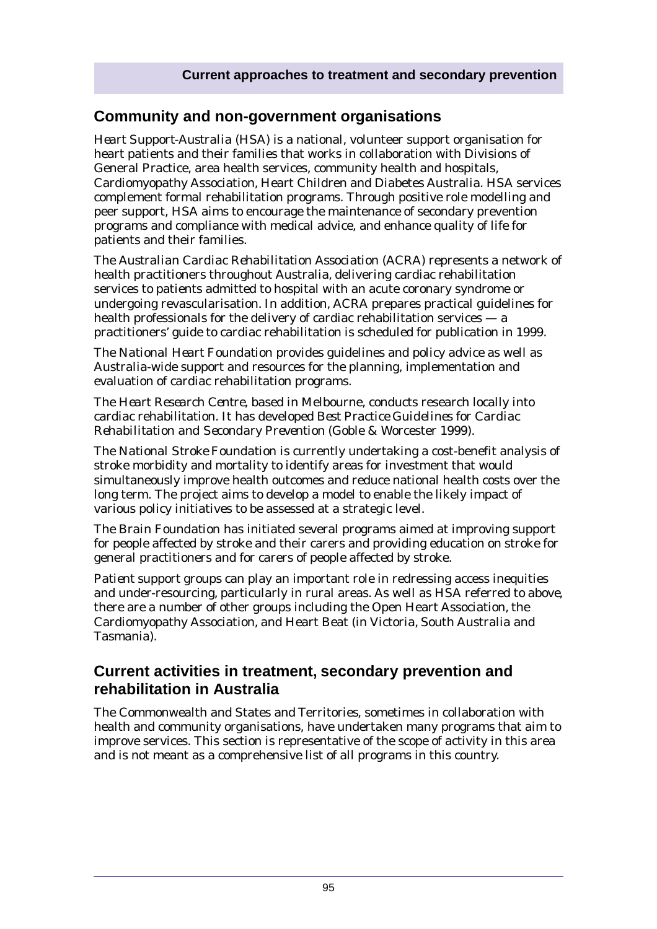# **Community and non-government organisations**

*Heart Support-Australia* (HSA) is a national, volunteer support organisation for heart patients and their families that works in collaboration with Divisions of General Practice, area health services, community health and hospitals, Cardiomyopathy Association, Heart Children and Diabetes Australia. HSA services complement formal rehabilitation programs. Through positive role modelling and peer support, HSA aims to encourage the maintenance of secondary prevention programs and compliance with medical advice, and enhance quality of life for patients and their families.

The *Australian Cardiac Rehabilitation Association* (ACRA) represents a network of health practitioners throughout Australia, delivering cardiac rehabilitation services to patients admitted to hospital with an acute coronary syndrome or undergoing revascularisation. In addition, ACRA prepares practical guidelines for health professionals for the delivery of cardiac rehabilitation services — a practitioners' guide to cardiac rehabilitation is scheduled for publication in 1999.

The *National Heart Foundation* provides guidelines and policy advice as well as Australia-wide support and resources for the planning, implementation and evaluation of cardiac rehabilitation programs.

The *Heart Research Centre*, based in Melbourne, conducts research locally into cardiac rehabilitation. It has developed *Best Practice Guidelines for Cardiac Rehabilitation and Secondary Prevention* (Goble & Worcester 1999).

The *National Stroke Foundation* is currently undertaking a cost-benefit analysis of stroke morbidity and mortality to identify areas for investment that would simultaneously improve health outcomes and reduce national health costs over the long term. The project aims to develop a model to enable the likely impact of various policy initiatives to be assessed at a strategic level.

The *Brain Foundation* has initiated several programs aimed at improving support for people affected by stroke and their carers and providing education on stroke for general practitioners and for carers of people affected by stroke.

*Patient support groups* can play an important role in redressing access inequities and under-resourcing, particularly in rural areas. As well as HSA referred to above, there are a number of other groups including the Open Heart Association, the Cardiomyopathy Association, and Heart Beat (in Victoria, South Australia and Tasmania).

# **Current activities in treatment, secondary prevention and rehabilitation in Australia**

The Commonwealth and States and Territories, sometimes in collaboration with health and community organisations, have undertaken many programs that aim to improve services. This section is representative of the scope of activity in this area and is not meant as a comprehensive list of all programs in this country.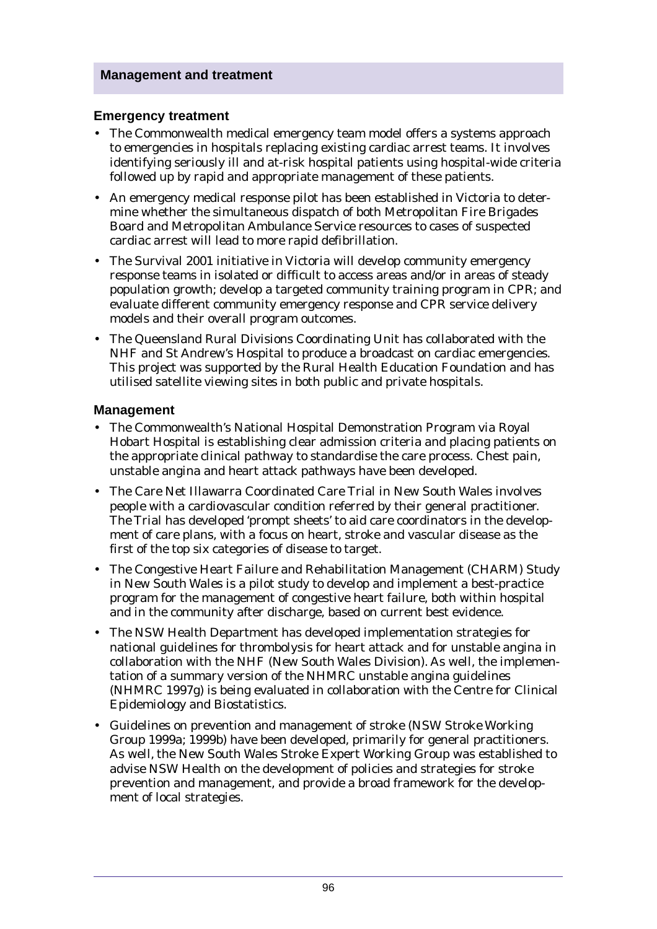### **Emergency treatment**

- The Commonwealth medical emergency team model offers a systems approach to emergencies in hospitals replacing existing cardiac arrest teams. It involves identifying seriously ill and at-risk hospital patients using hospital-wide criteria followed up by rapid and appropriate management of these patients.
- An emergency medical response pilot has been established in Victoria to determine whether the simultaneous dispatch of both Metropolitan Fire Brigades Board and Metropolitan Ambulance Service resources to cases of suspected cardiac arrest will lead to more rapid defibrillation.
- The Survival 2001 initiative in Victoria will develop community emergency response teams in isolated or difficult to access areas and/or in areas of steady population growth; develop a targeted community training program in CPR; and evaluate different community emergency response and CPR service delivery models and their overall program outcomes.
- The Queensland Rural Divisions Coordinating Unit has collaborated with the NHF and St Andrew's Hospital to produce a broadcast on cardiac emergencies. This project was supported by the Rural Health Education Foundation and has utilised satellite viewing sites in both public and private hospitals.

### **Management**

- The Commonwealth's National Hospital Demonstration Program via Royal Hobart Hospital is establishing clear admission criteria and placing patients on the appropriate clinical pathway to standardise the care process. Chest pain, unstable angina and heart attack pathways have been developed.
- The Care Net Illawarra Coordinated Care Trial in New South Wales involves people with a cardiovascular condition referred by their general practitioner. The Trial has developed 'prompt sheets' to aid care coordinators in the development of care plans, with a focus on heart, stroke and vascular disease as the first of the top six categories of disease to target.
- The Congestive Heart Failure and Rehabilitation Management (CHARM) Study in New South Wales is a pilot study to develop and implement a best-practice program for the management of congestive heart failure, both within hospital and in the community after discharge, based on current best evidence.
- The NSW Health Department has developed implementation strategies for national guidelines for thrombolysis for heart attack and for unstable angina in collaboration with the NHF (New South Wales Division). As well, the implementation of a summary version of the NHMRC unstable angina guidelines (NHMRC 1997g) is being evaluated in collaboration with the Centre for Clinical Epidemiology and Biostatistics.
- Guidelines on prevention and management of stroke (NSW Stroke Working Group 1999a; 1999b) have been developed, primarily for general practitioners. As well, the New South Wales Stroke Expert Working Group was established to advise NSW Health on the development of policies and strategies for stroke prevention and management, and provide a broad framework for the development of local strategies.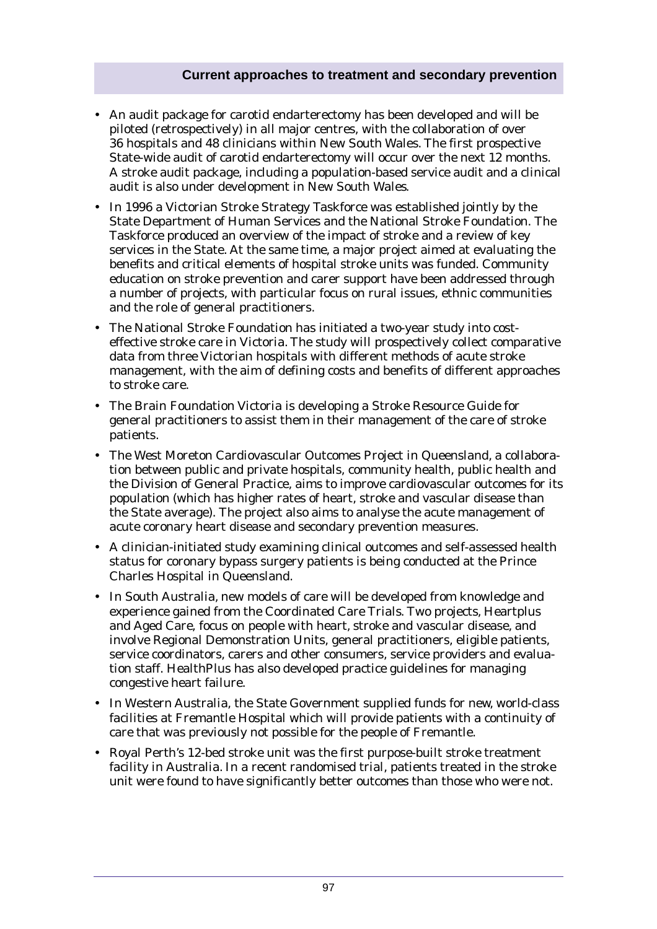### **Current approaches to treatment and secondary prevention**

- An audit package for carotid endarterectomy has been developed and will be piloted (retrospectively) in all major centres, with the collaboration of over 36 hospitals and 48 clinicians within New South Wales. The first prospective State-wide audit of carotid endarterectomy will occur over the next 12 months. A stroke audit package, including a population-based service audit and a clinical audit is also under development in New South Wales.
- In 1996 a Victorian Stroke Strategy Taskforce was established jointly by the State Department of Human Services and the National Stroke Foundation. The Taskforce produced an overview of the impact of stroke and a review of key services in the State. At the same time, a major project aimed at evaluating the benefits and critical elements of hospital stroke units was funded. Community education on stroke prevention and carer support have been addressed through a number of projects, with particular focus on rural issues, ethnic communities and the role of general practitioners.
- The National Stroke Foundation has initiated a two-year study into costeffective stroke care in Victoria. The study will prospectively collect comparative data from three Victorian hospitals with different methods of acute stroke management, with the aim of defining costs and benefits of different approaches to stroke care.
- The Brain Foundation Victoria is developing a Stroke Resource Guide for general practitioners to assist them in their management of the care of stroke patients.
- The West Moreton Cardiovascular Outcomes Project in Queensland, a collaboration between public and private hospitals, community health, public health and the Division of General Practice, aims to improve cardiovascular outcomes for its population (which has higher rates of heart, stroke and vascular disease than the State average). The project also aims to analyse the acute management of acute coronary heart disease and secondary prevention measures.
- A clinician-initiated study examining clinical outcomes and self-assessed health status for coronary bypass surgery patients is being conducted at the Prince Charles Hospital in Queensland.
- In South Australia, new models of care will be developed from knowledge and experience gained from the Coordinated Care Trials. Two projects, Heartplus and Aged Care, focus on people with heart, stroke and vascular disease, and involve Regional Demonstration Units, general practitioners, eligible patients, service coordinators, carers and other consumers, service providers and evaluation staff. HealthPlus has also developed practice guidelines for managing congestive heart failure.
- In Western Australia, the State Government supplied funds for new, world-class facilities at Fremantle Hospital which will provide patients with a continuity of care that was previously not possible for the people of Fremantle.
- Royal Perth's 12-bed stroke unit was the first purpose-built stroke treatment facility in Australia. In a recent randomised trial, patients treated in the stroke unit were found to have significantly better outcomes than those who were not.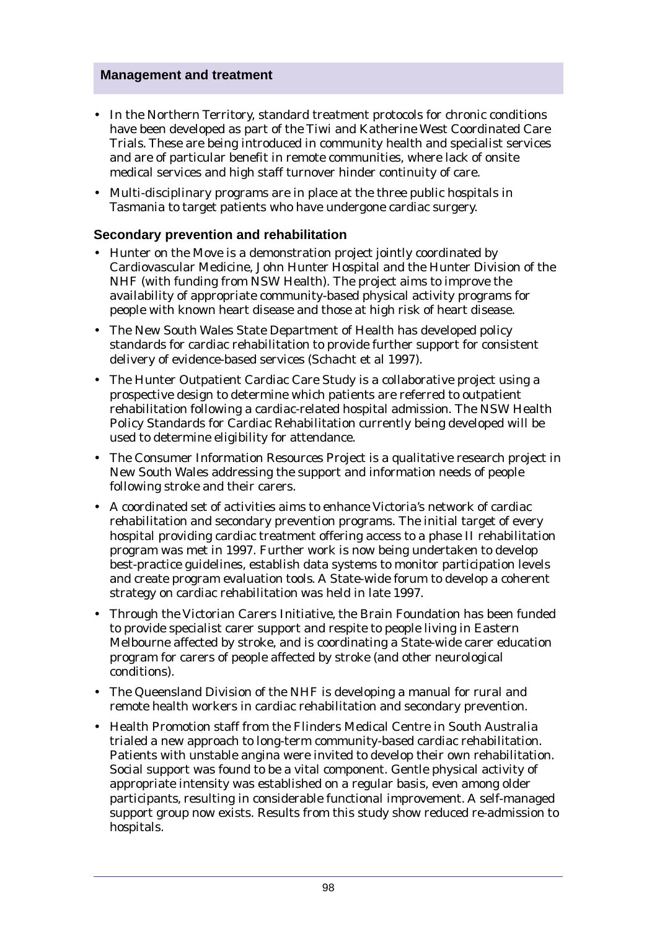- In the Northern Territory, standard treatment protocols for chronic conditions have been developed as part of the Tiwi and Katherine West Coordinated Care Trials. These are being introduced in community health and specialist services and are of particular benefit in remote communities, where lack of onsite medical services and high staff turnover hinder continuity of care.
- Multi-disciplinary programs are in place at the three public hospitals in Tasmania to target patients who have undergone cardiac surgery.

### **Secondary prevention and rehabilitation**

- Hunter on the Move is a demonstration project jointly coordinated by Cardiovascular Medicine, John Hunter Hospital and the Hunter Division of the NHF (with funding from NSW Health). The project aims to improve the availability of appropriate community-based physical activity programs for people with known heart disease and those at high risk of heart disease.
- The New South Wales State Department of Health has developed policy standards for cardiac rehabilitation to provide further support for consistent delivery of evidence-based services (Schacht et al 1997).
- The Hunter Outpatient Cardiac Care Study is a collaborative project using a prospective design to determine which patients are referred to outpatient rehabilitation following a cardiac-related hospital admission. The NSW Health Policy Standards for Cardiac Rehabilitation currently being developed will be used to determine eligibility for attendance.
- The Consumer Information Resources Project is a qualitative research project in New South Wales addressing the support and information needs of people following stroke and their carers.
- A coordinated set of activities aims to enhance Victoria's network of cardiac rehabilitation and secondary prevention programs. The initial target of every hospital providing cardiac treatment offering access to a phase II rehabilitation program was met in 1997. Further work is now being undertaken to develop best-practice guidelines, establish data systems to monitor participation levels and create program evaluation tools. A State-wide forum to develop a coherent strategy on cardiac rehabilitation was held in late 1997.
- Through the Victorian Carers Initiative, the Brain Foundation has been funded to provide specialist carer support and respite to people living in Eastern Melbourne affected by stroke, and is coordinating a State-wide carer education program for carers of people affected by stroke (and other neurological conditions).
- The Queensland Division of the NHF is developing a manual for rural and remote health workers in cardiac rehabilitation and secondary prevention.
- Health Promotion staff from the Flinders Medical Centre in South Australia trialed a new approach to long-term community-based cardiac rehabilitation. Patients with unstable angina were invited to develop their own rehabilitation. Social support was found to be a vital component. Gentle physical activity of appropriate intensity was established on a regular basis, even among older participants, resulting in considerable functional improvement. A self-managed support group now exists. Results from this study show reduced re-admission to hospitals.